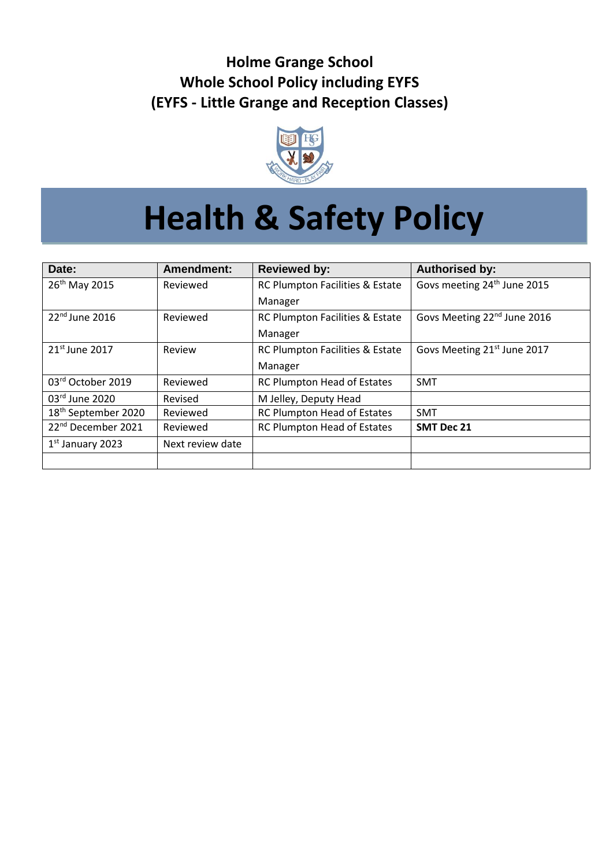## **Holme Grange School Whole School Policy including EYFS (EYFS - Little Grange and Reception Classes)**



# **Health & Safety Policy**

| Date:                           | Amendment:       | <b>Reviewed by:</b>                | <b>Authorised by:</b>                   |
|---------------------------------|------------------|------------------------------------|-----------------------------------------|
| 26th May 2015                   | Reviewed         | RC Plumpton Facilities & Estate    | Govs meeting 24 <sup>th</sup> June 2015 |
|                                 |                  | Manager                            |                                         |
| 22 <sup>nd</sup> June 2016      | Reviewed         | RC Plumpton Facilities & Estate    | Govs Meeting 22 <sup>nd</sup> June 2016 |
|                                 |                  | Manager                            |                                         |
| 21 <sup>st</sup> June 2017      | Review           | RC Plumpton Facilities & Estate    | Govs Meeting 21 <sup>st</sup> June 2017 |
|                                 |                  | Manager                            |                                         |
| 03rd October 2019               | Reviewed         | RC Plumpton Head of Estates        | <b>SMT</b>                              |
| $03rd$ June 2020                | Revised          | M Jelley, Deputy Head              |                                         |
| 18 <sup>th</sup> September 2020 | Reviewed         | <b>RC Plumpton Head of Estates</b> | <b>SMT</b>                              |
| 22 <sup>nd</sup> December 2021  | Reviewed         | RC Plumpton Head of Estates        | <b>SMT Dec 21</b>                       |
| $1st$ January 2023              | Next review date |                                    |                                         |
|                                 |                  |                                    |                                         |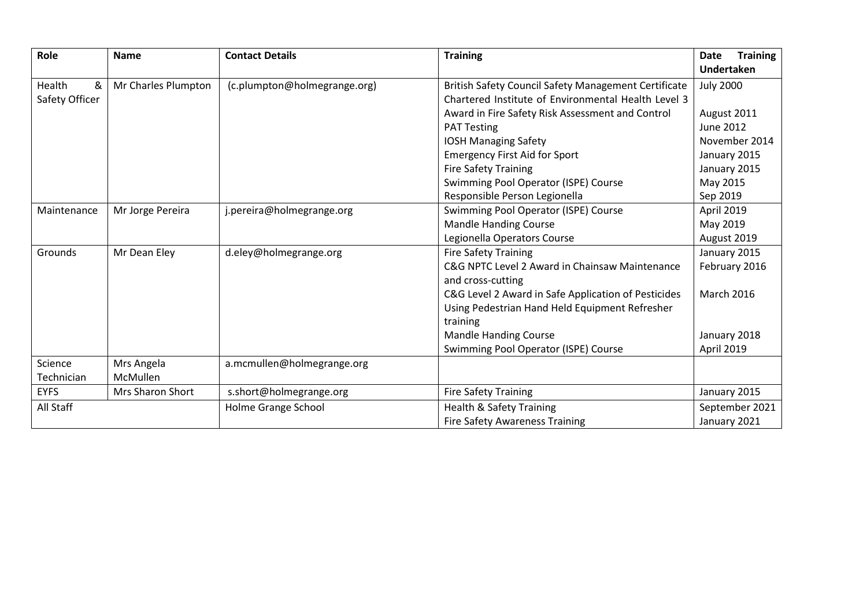| Role                  | <b>Name</b>            | <b>Contact Details</b>       | <b>Training</b>                                             | <b>Training</b><br>Date |
|-----------------------|------------------------|------------------------------|-------------------------------------------------------------|-------------------------|
|                       |                        |                              |                                                             | <b>Undertaken</b>       |
| Health<br>&           | Mr Charles Plumpton    | (c.plumpton@holmegrange.org) | <b>British Safety Council Safety Management Certificate</b> | <b>July 2000</b>        |
| Safety Officer        |                        |                              | Chartered Institute of Environmental Health Level 3         |                         |
|                       |                        |                              | Award in Fire Safety Risk Assessment and Control            | August 2011             |
|                       |                        |                              | <b>PAT Testing</b>                                          | <b>June 2012</b>        |
|                       |                        |                              | <b>IOSH Managing Safety</b>                                 | November 2014           |
|                       |                        |                              | <b>Emergency First Aid for Sport</b>                        | January 2015            |
|                       |                        |                              | <b>Fire Safety Training</b>                                 | January 2015            |
|                       |                        |                              | Swimming Pool Operator (ISPE) Course                        | May 2015                |
|                       |                        |                              | Responsible Person Legionella                               | Sep 2019                |
| Maintenance           | Mr Jorge Pereira       | j.pereira@holmegrange.org    | Swimming Pool Operator (ISPE) Course                        | April 2019              |
|                       |                        |                              | <b>Mandle Handing Course</b>                                | May 2019                |
|                       |                        |                              | Legionella Operators Course                                 | August 2019             |
| Grounds               | Mr Dean Eley           | d.eley@holmegrange.org       | <b>Fire Safety Training</b>                                 | January 2015            |
|                       |                        |                              | C&G NPTC Level 2 Award in Chainsaw Maintenance              | February 2016           |
|                       |                        |                              | and cross-cutting                                           |                         |
|                       |                        |                              | C&G Level 2 Award in Safe Application of Pesticides         | <b>March 2016</b>       |
|                       |                        |                              | Using Pedestrian Hand Held Equipment Refresher              |                         |
|                       |                        |                              | training                                                    |                         |
|                       |                        |                              | <b>Mandle Handing Course</b>                                | January 2018            |
|                       |                        |                              | Swimming Pool Operator (ISPE) Course                        | April 2019              |
| Science<br>Technician | Mrs Angela<br>McMullen | a.mcmullen@holmegrange.org   |                                                             |                         |
| <b>EYFS</b>           | Mrs Sharon Short       | s.short@holmegrange.org      | <b>Fire Safety Training</b>                                 | January 2015            |
| All Staff             |                        | Holme Grange School          | <b>Health &amp; Safety Training</b>                         | September 2021          |
|                       |                        |                              | <b>Fire Safety Awareness Training</b>                       | January 2021            |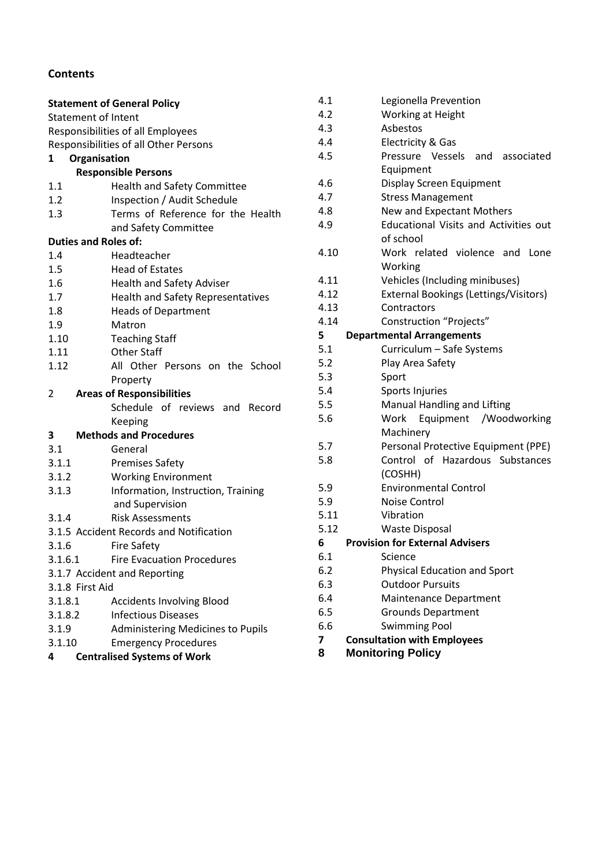## **Contents**

|                            | <b>Statement of General Policy</b>       |  |  |
|----------------------------|------------------------------------------|--|--|
| <b>Statement of Intent</b> |                                          |  |  |
|                            | Responsibilities of all Employees        |  |  |
|                            | Responsibilities of all Other Persons    |  |  |
| 1                          | Organisation                             |  |  |
|                            | <b>Responsible Persons</b>               |  |  |
| 1.1                        | <b>Health and Safety Committee</b>       |  |  |
| 1.2                        | Inspection / Audit Schedule              |  |  |
| 1.3                        | Terms of Reference for the Health        |  |  |
|                            | and Safety Committee                     |  |  |
|                            | <b>Duties and Roles of:</b>              |  |  |
| 1.4                        | Headteacher                              |  |  |
| 1.5                        | <b>Head of Estates</b>                   |  |  |
| 1.6                        | <b>Health and Safety Adviser</b>         |  |  |
| 1.7                        | <b>Health and Safety Representatives</b> |  |  |
| 1.8                        | <b>Heads of Department</b>               |  |  |
| 1.9                        | Matron                                   |  |  |
| 1.10                       | <b>Teaching Staff</b>                    |  |  |
| 1.11                       | <b>Other Staff</b>                       |  |  |
| 1.12                       | All Other Persons on the School          |  |  |
|                            | Property                                 |  |  |
| 2                          | <b>Areas of Responsibilities</b>         |  |  |
|                            | Schedule of reviews and Record           |  |  |
|                            | Keeping                                  |  |  |
| 3                          | <b>Methods and Procedures</b>            |  |  |
| 3.1                        | General                                  |  |  |
| 3.1.1                      | <b>Premises Safety</b>                   |  |  |
| 3.1.2                      | <b>Working Environment</b>               |  |  |
| 3.1.3                      | Information, Instruction, Training       |  |  |
|                            | and Supervision                          |  |  |
| 3.1.4                      | <b>Risk Assessments</b>                  |  |  |
|                            | 3.1.5 Accident Records and Notification  |  |  |
| 3.1.6                      | <b>Fire Safety</b>                       |  |  |
| 3.1.6.1                    | <b>Fire Evacuation Procedures</b>        |  |  |
|                            | 3.1.7 Accident and Reporting             |  |  |
| 3.1.8 First Aid            |                                          |  |  |
| 3.1.8.1                    | <b>Accidents Involving Blood</b>         |  |  |
| 3.1.8.2                    | <b>Infectious Diseases</b>               |  |  |
| 3.1.9                      | <b>Administering Medicines to Pupils</b> |  |  |
| 3.1.10                     | <b>Emergency Procedures</b>              |  |  |
| 4                          | <b>Centralised Systems of Work</b>       |  |  |

| 4.1  | Legionella Prevention                        |
|------|----------------------------------------------|
| 4.2  | Working at Height                            |
| 4.3  | Asbestos                                     |
| 4.4  | <b>Electricity &amp; Gas</b>                 |
| 4.5  | Pressure Vessels and associated              |
|      | Equipment                                    |
| 4.6  | Display Screen Equipment                     |
| 4.7  | <b>Stress Management</b>                     |
| 4.8  | New and Expectant Mothers                    |
| 4.9  | <b>Educational Visits and Activities out</b> |
|      | of school                                    |
| 4.10 | Work related violence and<br>Lone            |
|      | Working                                      |
| 4.11 | Vehicles (Including minibuses)               |
| 4.12 | <b>External Bookings (Lettings/Visitors)</b> |
| 4.13 | Contractors                                  |
| 4.14 | <b>Construction "Projects"</b>               |
| 5    | <b>Departmental Arrangements</b>             |
| 5.1  | Curriculum - Safe Systems                    |
| 5.2  | Play Area Safety                             |
| 5.3  | Sport                                        |
| 5.4  | Sports Injuries                              |
| 5.5  | Manual Handling and Lifting                  |
| 5.6  | Work<br>Equipment /Woodworking               |
|      | Machinery                                    |
| 5.7  | Personal Protective Equipment (PPE)          |
| 5.8  | Control of Hazardous Substances              |
|      | (COSHH)                                      |
| 5.9  | <b>Environmental Control</b>                 |
| 5.9  | <b>Noise Control</b>                         |
| 5.11 | Vibration                                    |
| 5.12 | <b>Waste Disposal</b>                        |
| 6    | <b>Provision for External Advisers</b>       |
| 6.1  | Science                                      |
| 6.2  | Physical Education and Sport                 |
| 6.3  | <b>Outdoor Pursuits</b>                      |
| 6.4  | Maintenance Department                       |
| 6.5  | <b>Grounds Department</b>                    |
| 6.6  | <b>Swimming Pool</b>                         |
| 7    | <b>Consultation with Employees</b>           |

**8 Monitoring Policy**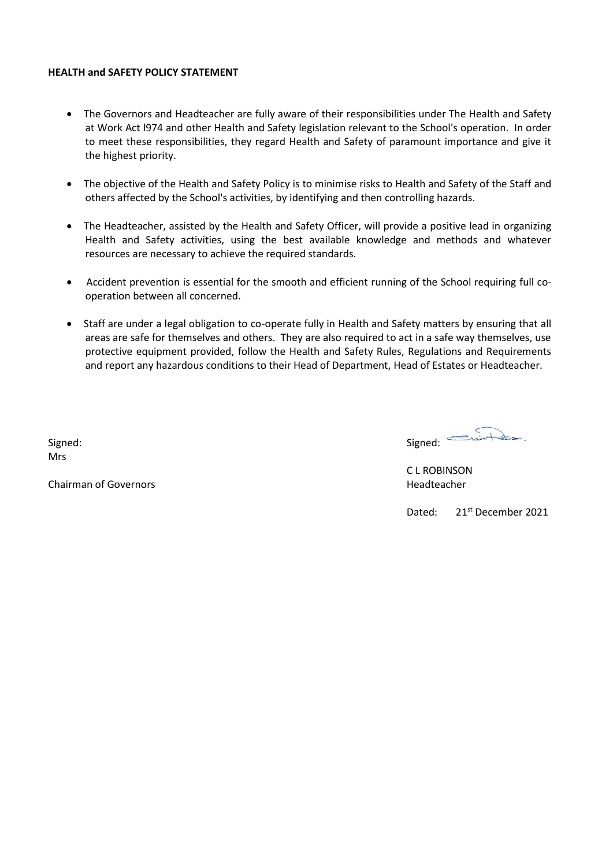#### **HEALTH and SAFETY POLICY STATEMENT**

- The Governors and Headteacher are fully aware of their responsibilities under The Health and Safety at Work Act l974 and other Health and Safety legislation relevant to the School's operation. In order to meet these responsibilities, they regard Health and Safety of paramount importance and give it the highest priority.
- The objective of the Health and Safety Policy is to minimise risks to Health and Safety of the Staff and others affected by the School's activities, by identifying and then controlling hazards.
- The Headteacher, assisted by the Health and Safety Officer, will provide a positive lead in organizing Health and Safety activities, using the best available knowledge and methods and whatever resources are necessary to achieve the required standards.
- Accident prevention is essential for the smooth and efficient running of the School requiring full cooperation between all concerned.
- Staff are under a legal obligation to co-operate fully in Health and Safety matters by ensuring that all areas are safe for themselves and others. They are also required to act in a safe way themselves, use protective equipment provided, follow the Health and Safety Rules, Regulations and Requirements and report any hazardous conditions to their Head of Department, Head of Estates or Headteacher.

Signed: Signed: Mrs

**Chairman of Governors Headteacher Headteacher Headteacher Headteacher** 

C L ROBINSON

Dated: 21<sup>st</sup> December 2021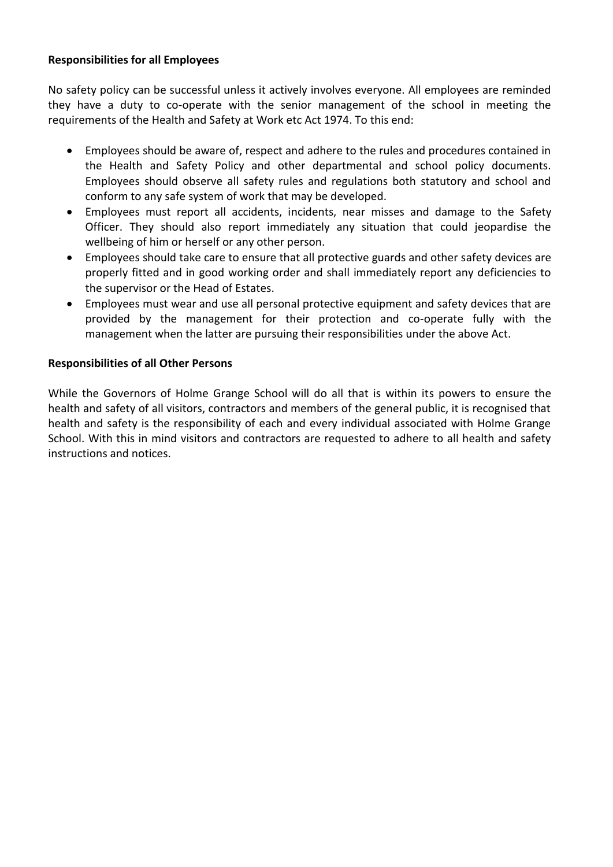## **Responsibilities for all Employees**

No safety policy can be successful unless it actively involves everyone. All employees are reminded they have a duty to co-operate with the senior management of the school in meeting the requirements of the Health and Safety at Work etc Act 1974. To this end:

- Employees should be aware of, respect and adhere to the rules and procedures contained in the Health and Safety Policy and other departmental and school policy documents. Employees should observe all safety rules and regulations both statutory and school and conform to any safe system of work that may be developed.
- Employees must report all accidents, incidents, near misses and damage to the Safety Officer. They should also report immediately any situation that could jeopardise the wellbeing of him or herself or any other person.
- Employees should take care to ensure that all protective guards and other safety devices are properly fitted and in good working order and shall immediately report any deficiencies to the supervisor or the Head of Estates.
- Employees must wear and use all personal protective equipment and safety devices that are provided by the management for their protection and co-operate fully with the management when the latter are pursuing their responsibilities under the above Act.

## **Responsibilities of all Other Persons**

While the Governors of Holme Grange School will do all that is within its powers to ensure the health and safety of all visitors, contractors and members of the general public, it is recognised that health and safety is the responsibility of each and every individual associated with Holme Grange School. With this in mind visitors and contractors are requested to adhere to all health and safety instructions and notices.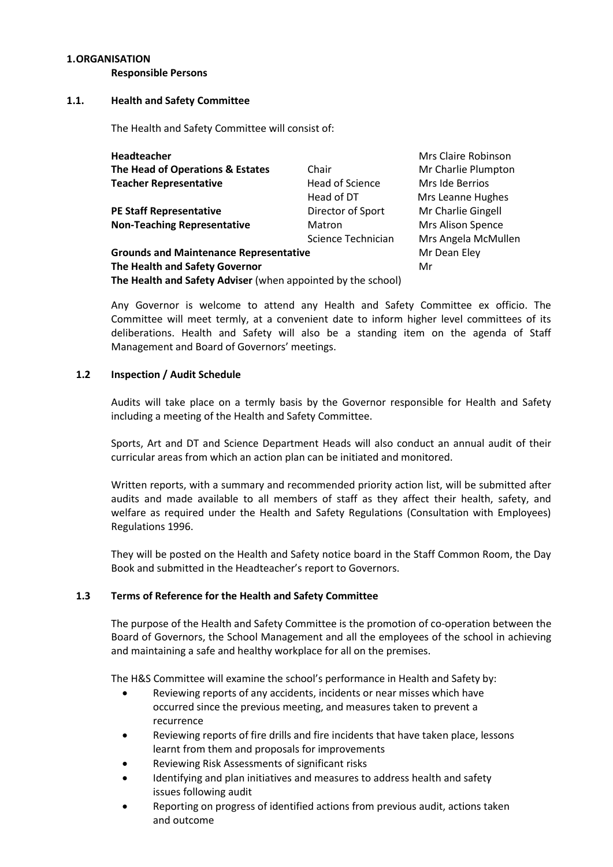## **1.ORGANISATION**

**Responsible Persons**

## **1.1. Health and Safety Committee**

The Health and Safety Committee will consist of:

| Headteacher                                                  |                        | Mrs Claire Robinson      |
|--------------------------------------------------------------|------------------------|--------------------------|
| The Head of Operations & Estates                             | Chair                  | Mr Charlie Plumpton      |
| <b>Teacher Representative</b>                                | <b>Head of Science</b> | Mrs Ide Berrios          |
|                                                              | Head of DT             | Mrs Leanne Hughes        |
| <b>PE Staff Representative</b>                               | Director of Sport      | Mr Charlie Gingell       |
| <b>Non-Teaching Representative</b>                           | Matron                 | <b>Mrs Alison Spence</b> |
|                                                              | Science Technician     | Mrs Angela McMullen      |
| <b>Grounds and Maintenance Representative</b>                |                        | Mr Dean Eley             |
| The Health and Safety Governor                               |                        | Mr                       |
| The Health and Safety Adviser (when appointed by the school) |                        |                          |

Any Governor is welcome to attend any Health and Safety Committee ex officio. The Committee will meet termly, at a convenient date to inform higher level committees of its deliberations. Health and Safety will also be a standing item on the agenda of Staff Management and Board of Governors' meetings.

## **1.2 Inspection / Audit Schedule**

Audits will take place on a termly basis by the Governor responsible for Health and Safety including a meeting of the Health and Safety Committee.

Sports, Art and DT and Science Department Heads will also conduct an annual audit of their curricular areas from which an action plan can be initiated and monitored.

Written reports, with a summary and recommended priority action list, will be submitted after audits and made available to all members of staff as they affect their health, safety, and welfare as required under the Health and Safety Regulations (Consultation with Employees) Regulations 1996.

They will be posted on the Health and Safety notice board in the Staff Common Room, the Day Book and submitted in the Headteacher's report to Governors.

## **1.3 Terms of Reference for the Health and Safety Committee**

The purpose of the Health and Safety Committee is the promotion of co-operation between the Board of Governors, the School Management and all the employees of the school in achieving and maintaining a safe and healthy workplace for all on the premises.

The H&S Committee will examine the school's performance in Health and Safety by:

- Reviewing reports of any accidents, incidents or near misses which have occurred since the previous meeting, and measures taken to prevent a recurrence
- Reviewing reports of fire drills and fire incidents that have taken place, lessons learnt from them and proposals for improvements
- Reviewing Risk Assessments of significant risks
- Identifying and plan initiatives and measures to address health and safety issues following audit
- Reporting on progress of identified actions from previous audit, actions taken and outcome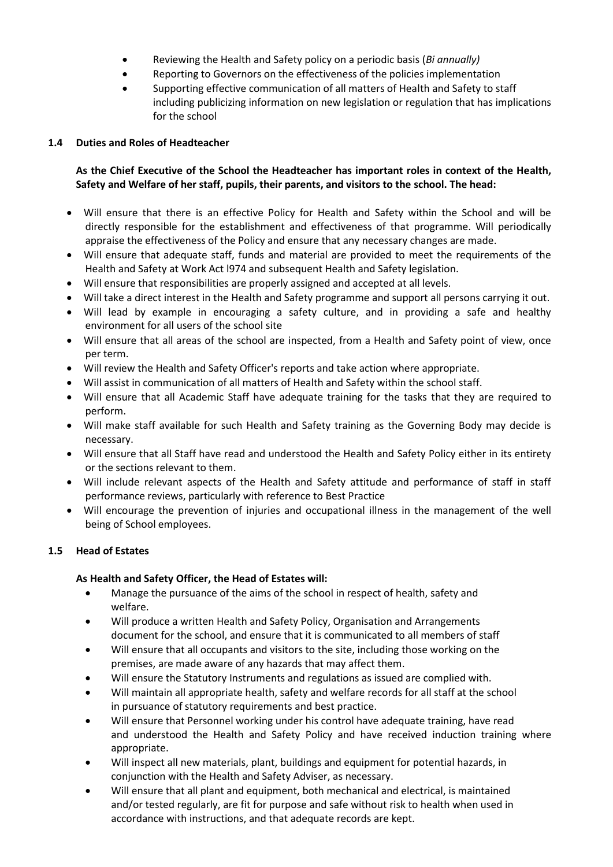- Reviewing the Health and Safety policy on a periodic basis (*Bi annually)*
- Reporting to Governors on the effectiveness of the policies implementation
- Supporting effective communication of all matters of Health and Safety to staff including publicizing information on new legislation or regulation that has implications for the school

## **1.4 Duties and Roles of Headteacher**

## **As the Chief Executive of the School the Headteacher has important roles in context of the Health, Safety and Welfare of her staff, pupils, their parents, and visitors to the school. The head:**

- Will ensure that there is an effective Policy for Health and Safety within the School and will be directly responsible for the establishment and effectiveness of that programme. Will periodically appraise the effectiveness of the Policy and ensure that any necessary changes are made.
- Will ensure that adequate staff, funds and material are provided to meet the requirements of the Health and Safety at Work Act l974 and subsequent Health and Safety legislation.
- Will ensure that responsibilities are properly assigned and accepted at all levels.
- Will take a direct interest in the Health and Safety programme and support all persons carrying it out.
- Will lead by example in encouraging a safety culture, and in providing a safe and healthy environment for all users of the school site
- Will ensure that all areas of the school are inspected, from a Health and Safety point of view, once per term.
- Will review the Health and Safety Officer's reports and take action where appropriate.
- Will assist in communication of all matters of Health and Safety within the school staff.
- Will ensure that all Academic Staff have adequate training for the tasks that they are required to perform.
- Will make staff available for such Health and Safety training as the Governing Body may decide is necessary.
- Will ensure that all Staff have read and understood the Health and Safety Policy either in its entirety or the sections relevant to them.
- Will include relevant aspects of the Health and Safety attitude and performance of staff in staff performance reviews, particularly with reference to Best Practice
- Will encourage the prevention of injuries and occupational illness in the management of the well being of School employees.

## **1.5 Head of Estates**

## **As Health and Safety Officer, the Head of Estates will:**

- Manage the pursuance of the aims of the school in respect of health, safety and welfare.
- Will produce a written Health and Safety Policy, Organisation and Arrangements document for the school, and ensure that it is communicated to all members of staff
- Will ensure that all occupants and visitors to the site, including those working on the premises, are made aware of any hazards that may affect them.
- Will ensure the Statutory Instruments and regulations as issued are complied with.
- Will maintain all appropriate health, safety and welfare records for all staff at the school in pursuance of statutory requirements and best practice.
- Will ensure that Personnel working under his control have adequate training, have read and understood the Health and Safety Policy and have received induction training where appropriate.
- Will inspect all new materials, plant, buildings and equipment for potential hazards, in conjunction with the Health and Safety Adviser, as necessary.
- Will ensure that all plant and equipment, both mechanical and electrical, is maintained and/or tested regularly, are fit for purpose and safe without risk to health when used in accordance with instructions, and that adequate records are kept.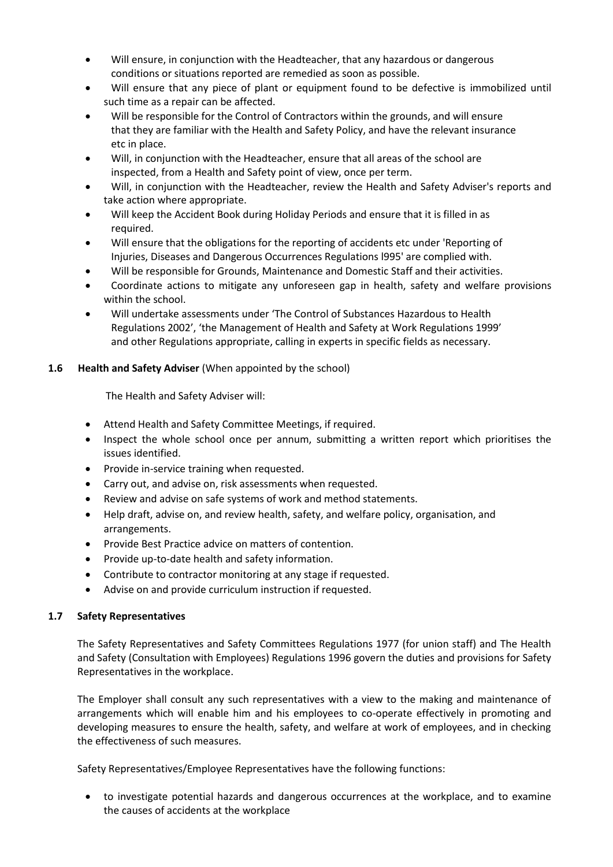- Will ensure, in conjunction with the Headteacher, that any hazardous or dangerous conditions or situations reported are remedied as soon as possible.
- Will ensure that any piece of plant or equipment found to be defective is immobilized until such time as a repair can be affected.
- Will be responsible for the Control of Contractors within the grounds, and will ensure that they are familiar with the Health and Safety Policy, and have the relevant insurance etc in place.
- Will, in conjunction with the Headteacher, ensure that all areas of the school are inspected, from a Health and Safety point of view, once per term.
- Will, in conjunction with the Headteacher, review the Health and Safety Adviser's reports and take action where appropriate.
- Will keep the Accident Book during Holiday Periods and ensure that it is filled in as required.
- Will ensure that the obligations for the reporting of accidents etc under 'Reporting of Injuries, Diseases and Dangerous Occurrences Regulations l995' are complied with.
- Will be responsible for Grounds, Maintenance and Domestic Staff and their activities.
- Coordinate actions to mitigate any unforeseen gap in health, safety and welfare provisions within the school.
- Will undertake assessments under 'The Control of Substances Hazardous to Health Regulations 2002', 'the Management of Health and Safety at Work Regulations 1999' and other Regulations appropriate, calling in experts in specific fields as necessary.

## **1.6 Health and Safety Adviser** (When appointed by the school)

The Health and Safety Adviser will:

- Attend Health and Safety Committee Meetings, if required.
- Inspect the whole school once per annum, submitting a written report which prioritises the issues identified.
- Provide in-service training when requested.
- Carry out, and advise on, risk assessments when requested.
- Review and advise on safe systems of work and method statements.
- Help draft, advise on, and review health, safety, and welfare policy, organisation, and arrangements.
- Provide Best Practice advice on matters of contention.
- Provide up-to-date health and safety information.
- Contribute to contractor monitoring at any stage if requested.
- Advise on and provide curriculum instruction if requested.

## **1.7 Safety Representatives**

The Safety Representatives and Safety Committees Regulations 1977 (for union staff) and The Health and Safety (Consultation with Employees) Regulations 1996 govern the duties and provisions for Safety Representatives in the workplace.

The Employer shall consult any such representatives with a view to the making and maintenance of arrangements which will enable him and his employees to co-operate effectively in promoting and developing measures to ensure the health, safety, and welfare at work of employees, and in checking the effectiveness of such measures.

Safety Representatives/Employee Representatives have the following functions:

• to investigate potential hazards and dangerous occurrences at the workplace, and to examine the causes of accidents at the workplace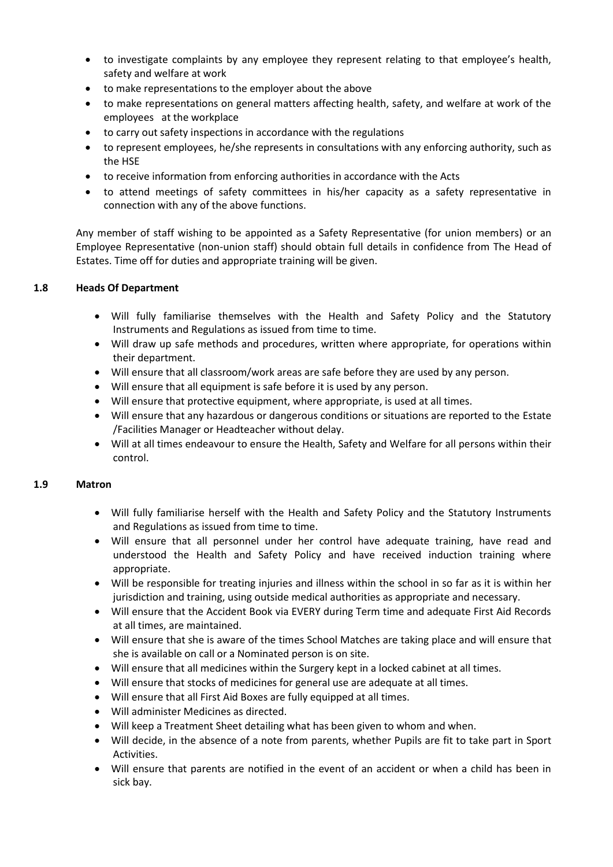- to investigate complaints by any employee they represent relating to that employee's health, safety and welfare at work
- to make representations to the employer about the above
- to make representations on general matters affecting health, safety, and welfare at work of the employees at the workplace
- to carry out safety inspections in accordance with the regulations
- to represent employees, he/she represents in consultations with any enforcing authority, such as the HSE
- to receive information from enforcing authorities in accordance with the Acts
- to attend meetings of safety committees in his/her capacity as a safety representative in connection with any of the above functions.

Any member of staff wishing to be appointed as a Safety Representative (for union members) or an Employee Representative (non-union staff) should obtain full details in confidence from The Head of Estates. Time off for duties and appropriate training will be given.

## **1.8 Heads Of Department**

- Will fully familiarise themselves with the Health and Safety Policy and the Statutory Instruments and Regulations as issued from time to time.
- Will draw up safe methods and procedures, written where appropriate, for operations within their department.
- Will ensure that all classroom/work areas are safe before they are used by any person.
- Will ensure that all equipment is safe before it is used by any person.
- Will ensure that protective equipment, where appropriate, is used at all times.
- Will ensure that any hazardous or dangerous conditions or situations are reported to the Estate /Facilities Manager or Headteacher without delay.
- Will at all times endeavour to ensure the Health, Safety and Welfare for all persons within their control.

## **1.9 Matron**

- Will fully familiarise herself with the Health and Safety Policy and the Statutory Instruments and Regulations as issued from time to time.
- Will ensure that all personnel under her control have adequate training, have read and understood the Health and Safety Policy and have received induction training where appropriate.
- Will be responsible for treating injuries and illness within the school in so far as it is within her jurisdiction and training, using outside medical authorities as appropriate and necessary.
- Will ensure that the Accident Book via EVERY during Term time and adequate First Aid Records at all times, are maintained.
- Will ensure that she is aware of the times School Matches are taking place and will ensure that she is available on call or a Nominated person is on site.
- Will ensure that all medicines within the Surgery kept in a locked cabinet at all times.
- Will ensure that stocks of medicines for general use are adequate at all times.
- Will ensure that all First Aid Boxes are fully equipped at all times.
- Will administer Medicines as directed.
- Will keep a Treatment Sheet detailing what has been given to whom and when.
- Will decide, in the absence of a note from parents, whether Pupils are fit to take part in Sport Activities.
- Will ensure that parents are notified in the event of an accident or when a child has been in sick bay.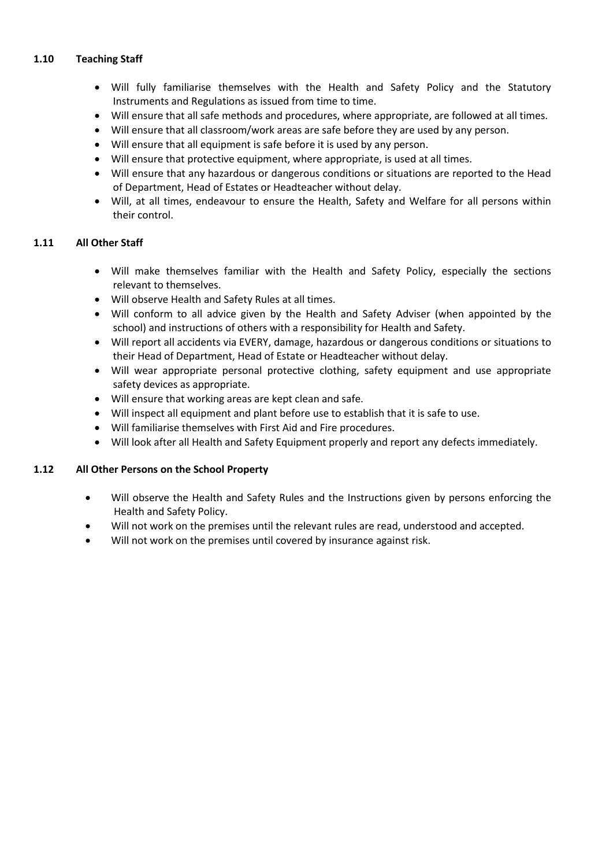## **1.10 Teaching Staff**

- Will fully familiarise themselves with the Health and Safety Policy and the Statutory Instruments and Regulations as issued from time to time.
- Will ensure that all safe methods and procedures, where appropriate, are followed at all times.
- Will ensure that all classroom/work areas are safe before they are used by any person.
- Will ensure that all equipment is safe before it is used by any person.
- Will ensure that protective equipment, where appropriate, is used at all times.
- Will ensure that any hazardous or dangerous conditions or situations are reported to the Head of Department, Head of Estates or Headteacher without delay.
- Will, at all times, endeavour to ensure the Health, Safety and Welfare for all persons within their control.

## **1.11 All Other Staff**

- Will make themselves familiar with the Health and Safety Policy, especially the sections relevant to themselves.
- Will observe Health and Safety Rules at all times.
- Will conform to all advice given by the Health and Safety Adviser (when appointed by the school) and instructions of others with a responsibility for Health and Safety.
- Will report all accidents via EVERY, damage, hazardous or dangerous conditions or situations to their Head of Department, Head of Estate or Headteacher without delay.
- Will wear appropriate personal protective clothing, safety equipment and use appropriate safety devices as appropriate.
- Will ensure that working areas are kept clean and safe.
- Will inspect all equipment and plant before use to establish that it is safe to use.
- Will familiarise themselves with First Aid and Fire procedures.
- Will look after all Health and Safety Equipment properly and report any defects immediately.

## **1.12 All Other Persons on the School Property**

- Will observe the Health and Safety Rules and the Instructions given by persons enforcing the Health and Safety Policy.
- Will not work on the premises until the relevant rules are read, understood and accepted.
- Will not work on the premises until covered by insurance against risk.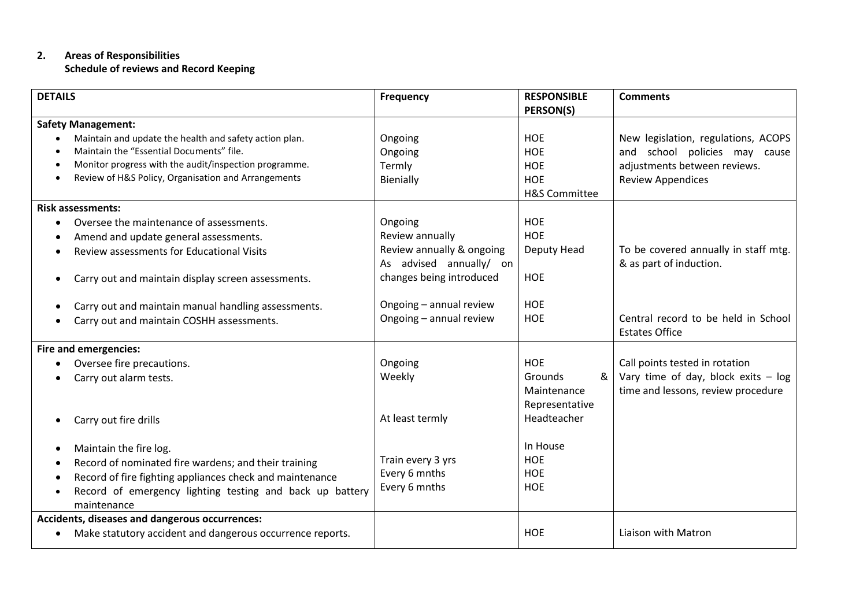## **2. Areas of Responsibilities Schedule of reviews and Record Keeping**

| <b>DETAILS</b>                                                                                                  | Frequency                 | <b>RESPONSIBLE</b><br>PERSON(S) | <b>Comments</b>                                              |
|-----------------------------------------------------------------------------------------------------------------|---------------------------|---------------------------------|--------------------------------------------------------------|
|                                                                                                                 |                           |                                 |                                                              |
| <b>Safety Management:</b>                                                                                       |                           |                                 |                                                              |
| Maintain and update the health and safety action plan.<br>$\bullet$<br>Maintain the "Essential Documents" file. | Ongoing                   | <b>HOE</b>                      | New legislation, regulations, ACOPS                          |
|                                                                                                                 | Ongoing                   | <b>HOE</b>                      | and school policies may cause                                |
| Monitor progress with the audit/inspection programme.                                                           | Termly                    | <b>HOE</b>                      | adjustments between reviews.                                 |
| Review of H&S Policy, Organisation and Arrangements                                                             | Bienially                 | <b>HOE</b>                      | <b>Review Appendices</b>                                     |
|                                                                                                                 |                           | <b>H&amp;S Committee</b>        |                                                              |
| <b>Risk assessments:</b>                                                                                        |                           |                                 |                                                              |
| Oversee the maintenance of assessments.                                                                         | Ongoing                   | <b>HOE</b>                      |                                                              |
| Amend and update general assessments.<br>$\bullet$                                                              | Review annually           | <b>HOE</b>                      |                                                              |
| Review assessments for Educational Visits                                                                       | Review annually & ongoing | Deputy Head                     | To be covered annually in staff mtg.                         |
|                                                                                                                 | As advised annually/ on   |                                 | & as part of induction.                                      |
| Carry out and maintain display screen assessments.<br>$\bullet$                                                 | changes being introduced  | <b>HOE</b>                      |                                                              |
|                                                                                                                 |                           |                                 |                                                              |
| Carry out and maintain manual handling assessments.                                                             | Ongoing - annual review   | <b>HOE</b>                      |                                                              |
| Carry out and maintain COSHH assessments.                                                                       | Ongoing - annual review   | <b>HOE</b>                      | Central record to be held in School<br><b>Estates Office</b> |
| <b>Fire and emergencies:</b>                                                                                    |                           |                                 |                                                              |
| Oversee fire precautions.                                                                                       | Ongoing                   | <b>HOE</b>                      | Call points tested in rotation                               |
| Carry out alarm tests.                                                                                          | Weekly                    | &<br>Grounds                    | Vary time of day, block exits $-$ log                        |
|                                                                                                                 |                           | Maintenance                     | time and lessons, review procedure                           |
|                                                                                                                 |                           | Representative                  |                                                              |
| Carry out fire drills                                                                                           | At least termly           | Headteacher                     |                                                              |
|                                                                                                                 |                           |                                 |                                                              |
| Maintain the fire log.<br>٠                                                                                     |                           | In House                        |                                                              |
| Record of nominated fire wardens; and their training                                                            | Train every 3 yrs         | <b>HOE</b>                      |                                                              |
| Record of fire fighting appliances check and maintenance                                                        | Every 6 mnths             | HOE                             |                                                              |
| Record of emergency lighting testing and back up battery                                                        | Every 6 mnths             | <b>HOE</b>                      |                                                              |
| maintenance                                                                                                     |                           |                                 |                                                              |
| Accidents, diseases and dangerous occurrences:                                                                  |                           |                                 |                                                              |
| Make statutory accident and dangerous occurrence reports.                                                       |                           | <b>HOE</b>                      | Liaison with Matron                                          |
| $\bullet$                                                                                                       |                           |                                 |                                                              |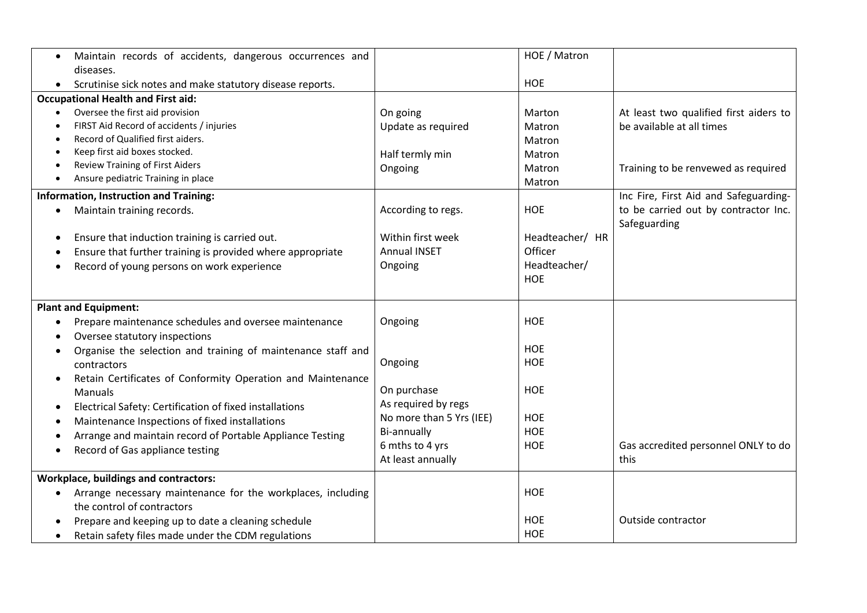| Maintain records of accidents, dangerous occurrences and<br>$\bullet$     |                          | HOE / Matron    |                                        |
|---------------------------------------------------------------------------|--------------------------|-----------------|----------------------------------------|
| diseases.                                                                 |                          |                 |                                        |
| Scrutinise sick notes and make statutory disease reports.<br>$\bullet$    |                          | <b>HOE</b>      |                                        |
| <b>Occupational Health and First aid:</b>                                 |                          |                 |                                        |
| Oversee the first aid provision<br>$\bullet$                              | On going                 | Marton          | At least two qualified first aiders to |
| FIRST Aid Record of accidents / injuries<br>$\bullet$                     | Update as required       | Matron          | be available at all times              |
| Record of Qualified first aiders.<br>٠                                    |                          | <b>Matron</b>   |                                        |
| Keep first aid boxes stocked.<br>٠                                        | Half termly min          | Matron          |                                        |
| Review Training of First Aiders<br>$\bullet$                              | Ongoing                  | Matron          | Training to be renvewed as required    |
| Ansure pediatric Training in place<br>$\bullet$                           |                          | Matron          |                                        |
| Information, Instruction and Training:                                    |                          |                 | Inc Fire, First Aid and Safeguarding-  |
| Maintain training records.<br>$\bullet$                                   | According to regs.       | <b>HOE</b>      | to be carried out by contractor Inc.   |
|                                                                           |                          |                 | Safeguarding                           |
| Ensure that induction training is carried out.<br>$\bullet$               | Within first week        | Headteacher/ HR |                                        |
| Ensure that further training is provided where appropriate<br>٠           | <b>Annual INSET</b>      | Officer         |                                        |
| Record of young persons on work experience                                | Ongoing                  | Headteacher/    |                                        |
|                                                                           |                          | <b>HOE</b>      |                                        |
|                                                                           |                          |                 |                                        |
| <b>Plant and Equipment:</b>                                               |                          |                 |                                        |
| Prepare maintenance schedules and oversee maintenance<br>٠                | Ongoing                  | <b>HOE</b>      |                                        |
| Oversee statutory inspections<br>$\bullet$                                |                          |                 |                                        |
| Organise the selection and training of maintenance staff and<br>$\bullet$ |                          | <b>HOE</b>      |                                        |
| contractors                                                               | Ongoing                  | <b>HOE</b>      |                                        |
| Retain Certificates of Conformity Operation and Maintenance               |                          |                 |                                        |
| <b>Manuals</b>                                                            | On purchase              | <b>HOE</b>      |                                        |
| Electrical Safety: Certification of fixed installations<br>$\bullet$      | As required by regs      |                 |                                        |
| Maintenance Inspections of fixed installations<br>٠                       | No more than 5 Yrs (IEE) | <b>HOE</b>      |                                        |
| Arrange and maintain record of Portable Appliance Testing<br>$\bullet$    | Bi-annually              | HOE             |                                        |
| Record of Gas appliance testing<br>$\bullet$                              | 6 mths to 4 yrs          | <b>HOE</b>      | Gas accredited personnel ONLY to do    |
|                                                                           | At least annually        |                 | this                                   |
| <b>Workplace, buildings and contractors:</b>                              |                          |                 |                                        |
| Arrange necessary maintenance for the workplaces, including<br>$\bullet$  |                          | <b>HOE</b>      |                                        |
| the control of contractors                                                |                          |                 |                                        |
| Prepare and keeping up to date a cleaning schedule<br>$\bullet$           |                          | <b>HOE</b>      | Outside contractor                     |
| Retain safety files made under the CDM regulations<br>$\bullet$           |                          | <b>HOE</b>      |                                        |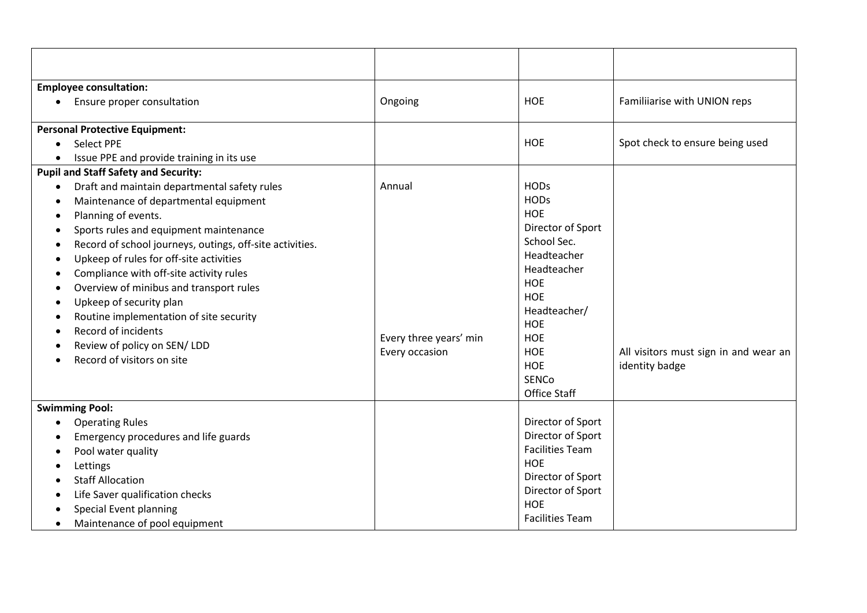| <b>Employee consultation:</b>                                                                                                                                                                                                                                                                                                                                                                                                                                                                                                                   |                                                    |                                                                                                                                                                                                                                  |                                                         |
|-------------------------------------------------------------------------------------------------------------------------------------------------------------------------------------------------------------------------------------------------------------------------------------------------------------------------------------------------------------------------------------------------------------------------------------------------------------------------------------------------------------------------------------------------|----------------------------------------------------|----------------------------------------------------------------------------------------------------------------------------------------------------------------------------------------------------------------------------------|---------------------------------------------------------|
| Ensure proper consultation                                                                                                                                                                                                                                                                                                                                                                                                                                                                                                                      | Ongoing                                            | <b>HOE</b>                                                                                                                                                                                                                       | Familiiarise with UNION reps                            |
| <b>Personal Protective Equipment:</b>                                                                                                                                                                                                                                                                                                                                                                                                                                                                                                           |                                                    |                                                                                                                                                                                                                                  |                                                         |
| <b>Select PPE</b><br>$\bullet$                                                                                                                                                                                                                                                                                                                                                                                                                                                                                                                  |                                                    | <b>HOE</b>                                                                                                                                                                                                                       | Spot check to ensure being used                         |
| Issue PPE and provide training in its use                                                                                                                                                                                                                                                                                                                                                                                                                                                                                                       |                                                    |                                                                                                                                                                                                                                  |                                                         |
| <b>Pupil and Staff Safety and Security:</b>                                                                                                                                                                                                                                                                                                                                                                                                                                                                                                     |                                                    |                                                                                                                                                                                                                                  |                                                         |
| Draft and maintain departmental safety rules<br>Maintenance of departmental equipment<br>Planning of events.<br>$\bullet$<br>Sports rules and equipment maintenance<br>Record of school journeys, outings, off-site activities.<br>- 0<br>Upkeep of rules for off-site activities<br>$\bullet$<br>Compliance with off-site activity rules<br>Overview of minibus and transport rules<br>Upkeep of security plan<br>Routine implementation of site security<br>Record of incidents<br>Review of policy on SEN/ LDD<br>Record of visitors on site | Annual<br>Every three years' min<br>Every occasion | <b>HODs</b><br><b>HODs</b><br>HOE<br>Director of Sport<br>School Sec.<br>Headteacher<br>Headteacher<br><b>HOE</b><br><b>HOE</b><br>Headteacher/<br><b>HOE</b><br><b>HOE</b><br><b>HOE</b><br><b>HOE</b><br>SENCo<br>Office Staff | All visitors must sign in and wear an<br>identity badge |
| <b>Swimming Pool:</b>                                                                                                                                                                                                                                                                                                                                                                                                                                                                                                                           |                                                    |                                                                                                                                                                                                                                  |                                                         |
| <b>Operating Rules</b><br>Emergency procedures and life guards<br>Pool water quality<br>Lettings<br><b>Staff Allocation</b><br>Life Saver qualification checks<br>Special Event planning<br>Maintenance of pool equipment                                                                                                                                                                                                                                                                                                                       |                                                    | Director of Sport<br>Director of Sport<br><b>Facilities Team</b><br><b>HOE</b><br>Director of Sport<br>Director of Sport<br><b>HOE</b><br><b>Facilities Team</b>                                                                 |                                                         |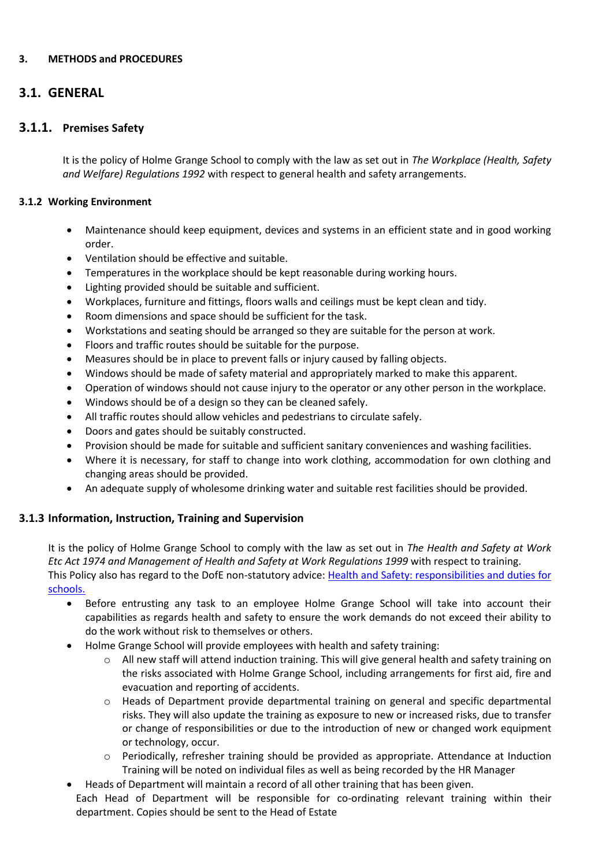## **3. METHODS and PROCEDURES**

## **3.1. GENERAL**

## **3.1.1. Premises Safety**

It is the policy of Holme Grange School to comply with the law as set out in *The Workplace (Health, Safety and Welfare) Regulations 1992* with respect to general health and safety arrangements.

## **3.1.2 Working Environment**

- Maintenance should keep equipment, devices and systems in an efficient state and in good working order.
- Ventilation should be effective and suitable.
- Temperatures in the workplace should be kept reasonable during working hours.
- Lighting provided should be suitable and sufficient.
- Workplaces, furniture and fittings, floors walls and ceilings must be kept clean and tidy.
- Room dimensions and space should be sufficient for the task.
- Workstations and seating should be arranged so they are suitable for the person at work.
- Floors and traffic routes should be suitable for the purpose.
- Measures should be in place to prevent falls or injury caused by falling objects.
- Windows should be made of safety material and appropriately marked to make this apparent.
- Operation of windows should not cause injury to the operator or any other person in the workplace.
- Windows should be of a design so they can be cleaned safely.
- All traffic routes should allow vehicles and pedestrians to circulate safely.
- Doors and gates should be suitably constructed.
- Provision should be made for suitable and sufficient sanitary conveniences and washing facilities.
- Where it is necessary, for staff to change into work clothing, accommodation for own clothing and changing areas should be provided.
- An adequate supply of wholesome drinking water and suitable rest facilities should be provided.

## **3.1.3 Information, Instruction, Training and Supervision**

It is the policy of Holme Grange School to comply with the law as set out in *The Health and Safety at Work Etc Act 1974 and Management of Health and Safety at Work Regulations 1999* with respect to training. This Policy also has regard to the DofE non-statutory advice: Health and Safety: responsibilities and duties for [schools.](https://www.gov.uk/government/publications/health-and-safety-advice-for-schools/responsibilities-and-duties-for-schools)

- Before entrusting any task to an employee Holme Grange School will take into account their capabilities as regards health and safety to ensure the work demands do not exceed their ability to do the work without risk to themselves or others.
- Holme Grange School will provide employees with health and safety training:

department. Copies should be sent to the Head of Estate

- $\circ$  All new staff will attend induction training. This will give general health and safety training on the risks associated with Holme Grange School, including arrangements for first aid, fire and evacuation and reporting of accidents.
- o Heads of Department provide departmental training on general and specific departmental risks. They will also update the training as exposure to new or increased risks, due to transfer or change of responsibilities or due to the introduction of new or changed work equipment or technology, occur.
- o Periodically, refresher training should be provided as appropriate. Attendance at Induction Training will be noted on individual files as well as being recorded by the HR Manager
- Heads of Department will maintain a record of all other training that has been given. Each Head of Department will be responsible for co-ordinating relevant training within their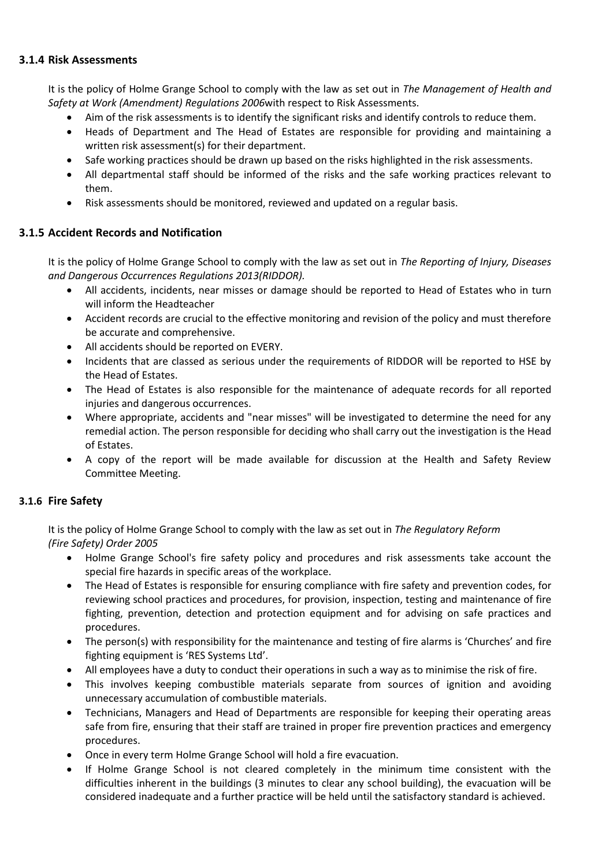## **3.1.4 Risk Assessments**

It is the policy of Holme Grange School to comply with the law as set out in *The Management of Health and Safety at Work (Amendment) Regulations 2006*with respect to Risk Assessments.

- Aim of the risk assessments is to identify the significant risks and identify controls to reduce them.
- Heads of Department and The Head of Estates are responsible for providing and maintaining a written risk assessment(s) for their department.
- Safe working practices should be drawn up based on the risks highlighted in the risk assessments.
- All departmental staff should be informed of the risks and the safe working practices relevant to them.
- Risk assessments should be monitored, reviewed and updated on a regular basis.

## **3.1.5 Accident Records and Notification**

It is the policy of Holme Grange School to comply with the law as set out in *The Reporting of Injury, Diseases and Dangerous Occurrences Regulations 2013(RIDDOR).*

- All accidents, incidents, near misses or damage should be reported to Head of Estates who in turn will inform the Headteacher
- Accident records are crucial to the effective monitoring and revision of the policy and must therefore be accurate and comprehensive.
- All accidents should be reported on EVERY.
- Incidents that are classed as serious under the requirements of RIDDOR will be reported to HSE by the Head of Estates.
- The Head of Estates is also responsible for the maintenance of adequate records for all reported injuries and dangerous occurrences.
- Where appropriate, accidents and "near misses" will be investigated to determine the need for any remedial action. The person responsible for deciding who shall carry out the investigation is the Head of Estates.
- A copy of the report will be made available for discussion at the Health and Safety Review Committee Meeting.

## **3.1.6 Fire Safety**

It is the policy of Holme Grange School to comply with the law as set out in *The Regulatory Reform (Fire Safety) Order 2005*

- Holme Grange School's fire safety policy and procedures and risk assessments take account the special fire hazards in specific areas of the workplace.
- The Head of Estates is responsible for ensuring compliance with fire safety and prevention codes, for reviewing school practices and procedures, for provision, inspection, testing and maintenance of fire fighting, prevention, detection and protection equipment and for advising on safe practices and procedures.
- The person(s) with responsibility for the maintenance and testing of fire alarms is 'Churches' and fire fighting equipment is 'RES Systems Ltd'.
- All employees have a duty to conduct their operations in such a way as to minimise the risk of fire.
- This involves keeping combustible materials separate from sources of ignition and avoiding unnecessary accumulation of combustible materials.
- Technicians, Managers and Head of Departments are responsible for keeping their operating areas safe from fire, ensuring that their staff are trained in proper fire prevention practices and emergency procedures.
- Once in every term Holme Grange School will hold a fire evacuation.
- If Holme Grange School is not cleared completely in the minimum time consistent with the difficulties inherent in the buildings (3 minutes to clear any school building), the evacuation will be considered inadequate and a further practice will be held until the satisfactory standard is achieved.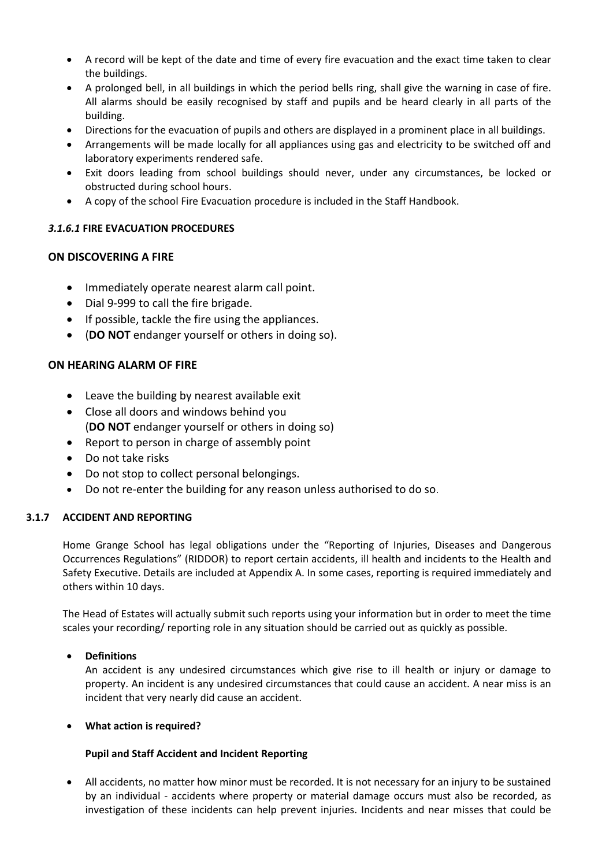- A record will be kept of the date and time of every fire evacuation and the exact time taken to clear the buildings.
- A prolonged bell, in all buildings in which the period bells ring, shall give the warning in case of fire. All alarms should be easily recognised by staff and pupils and be heard clearly in all parts of the building.
- Directions for the evacuation of pupils and others are displayed in a prominent place in all buildings.
- Arrangements will be made locally for all appliances using gas and electricity to be switched off and laboratory experiments rendered safe.
- Exit doors leading from school buildings should never, under any circumstances, be locked or obstructed during school hours.
- A copy of the school Fire Evacuation procedure is included in the Staff Handbook.

## *3.1.6.1* **FIRE EVACUATION PROCEDURES**

## **ON DISCOVERING A FIRE**

- Immediately operate nearest alarm call point.
- Dial 9-999 to call the fire brigade.
- If possible, tackle the fire using the appliances.
- (**DO NOT** endanger yourself or others in doing so).

## **ON HEARING ALARM OF FIRE**

- Leave the building by nearest available exit
- Close all doors and windows behind you (**DO NOT** endanger yourself or others in doing so)
- Report to person in charge of assembly point
- Do not take risks
- Do not stop to collect personal belongings.
- Do not re-enter the building for any reason unless authorised to do so.

## **3.1.7 ACCIDENT AND REPORTING**

Home Grange School has legal obligations under the "Reporting of Injuries, Diseases and Dangerous Occurrences Regulations" (RIDDOR) to report certain accidents, ill health and incidents to the Health and Safety Executive. Details are included at Appendix A. In some cases, reporting is required immediately and others within 10 days.

The Head of Estates will actually submit such reports using your information but in order to meet the time scales your recording/ reporting role in any situation should be carried out as quickly as possible.

## • **Definitions**

An accident is any undesired circumstances which give rise to ill health or injury or damage to property. An incident is any undesired circumstances that could cause an accident. A near miss is an incident that very nearly did cause an accident.

## • **What action is required?**

## **Pupil and Staff Accident and Incident Reporting**

• All accidents, no matter how minor must be recorded. It is not necessary for an injury to be sustained by an individual - accidents where property or material damage occurs must also be recorded, as investigation of these incidents can help prevent injuries. Incidents and near misses that could be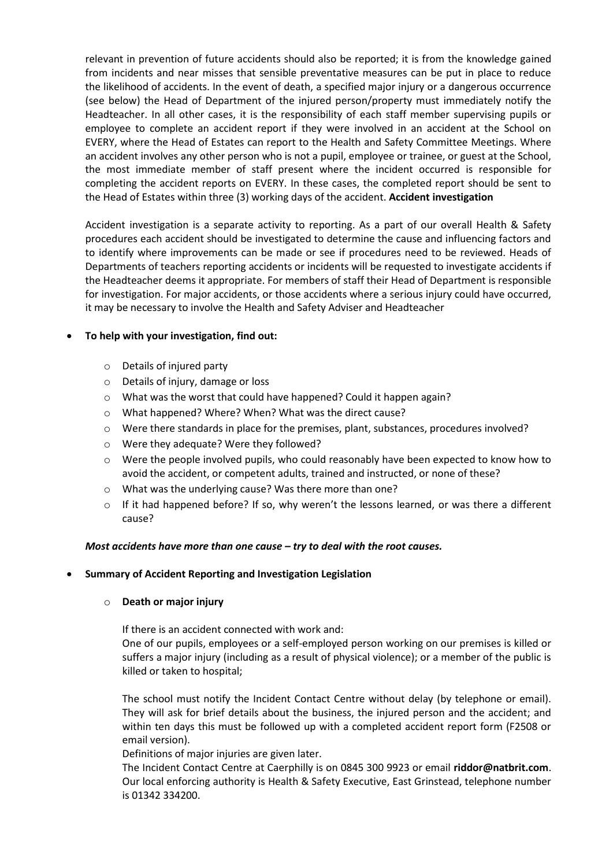relevant in prevention of future accidents should also be reported; it is from the knowledge gained from incidents and near misses that sensible preventative measures can be put in place to reduce the likelihood of accidents. In the event of death, a specified major injury or a dangerous occurrence (see below) the Head of Department of the injured person/property must immediately notify the Headteacher. In all other cases, it is the responsibility of each staff member supervising pupils or employee to complete an accident report if they were involved in an accident at the School on EVERY, where the Head of Estates can report to the Health and Safety Committee Meetings. Where an accident involves any other person who is not a pupil, employee or trainee, or guest at the School, the most immediate member of staff present where the incident occurred is responsible for completing the accident reports on EVERY. In these cases, the completed report should be sent to the Head of Estates within three (3) working days of the accident. **Accident investigation**

Accident investigation is a separate activity to reporting. As a part of our overall Health & Safety procedures each accident should be investigated to determine the cause and influencing factors and to identify where improvements can be made or see if procedures need to be reviewed. Heads of Departments of teachers reporting accidents or incidents will be requested to investigate accidents if the Headteacher deems it appropriate. For members of staff their Head of Department is responsible for investigation. For major accidents, or those accidents where a serious injury could have occurred, it may be necessary to involve the Health and Safety Adviser and Headteacher

## • **To help with your investigation, find out:**

- o Details of injured party
- o Details of injury, damage or loss
- o What was the worst that could have happened? Could it happen again?
- o What happened? Where? When? What was the direct cause?
- o Were there standards in place for the premises, plant, substances, procedures involved?
- o Were they adequate? Were they followed?
- o Were the people involved pupils, who could reasonably have been expected to know how to avoid the accident, or competent adults, trained and instructed, or none of these?
- o What was the underlying cause? Was there more than one?
- $\circ$  If it had happened before? If so, why weren't the lessons learned, or was there a different cause?

## *Most accidents have more than one cause – try to deal with the root causes.*

## • **Summary of Accident Reporting and Investigation Legislation**

## o **Death or major injury**

If there is an accident connected with work and:

One of our pupils, employees or a self-employed person working on our premises is killed or suffers a major injury (including as a result of physical violence); or a member of the public is killed or taken to hospital;

The school must notify the Incident Contact Centre without delay (by telephone or email). They will ask for brief details about the business, the injured person and the accident; and within ten days this must be followed up with a completed accident report form (F2508 or email version).

Definitions of major injuries are given later.

The Incident Contact Centre at Caerphilly is on 0845 300 9923 or email **riddor@natbrit.com**. Our local enforcing authority is Health & Safety Executive, East Grinstead, telephone number is 01342 334200.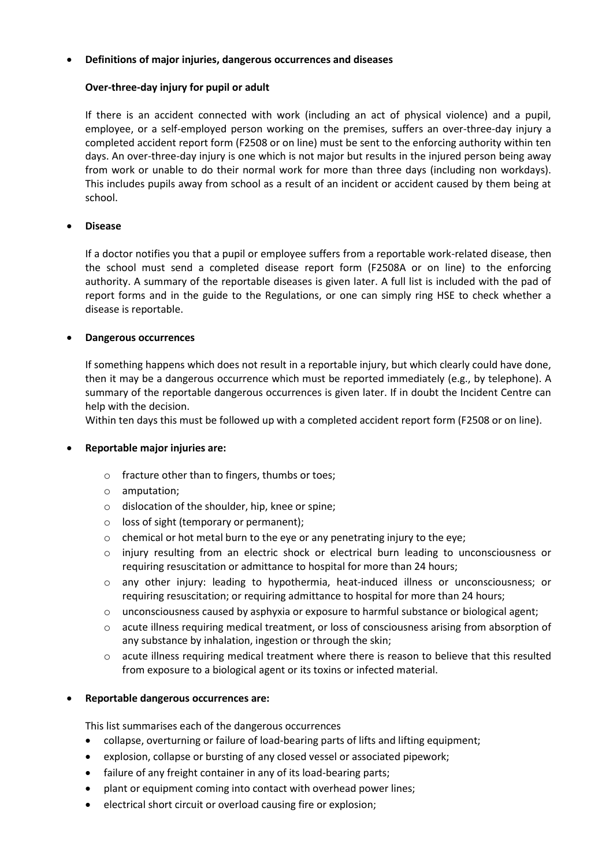## • **Definitions of major injuries, dangerous occurrences and diseases**

## **Over-three-day injury for pupil or adult**

If there is an accident connected with work (including an act of physical violence) and a pupil, employee, or a self-employed person working on the premises, suffers an over-three-day injury a completed accident report form (F2508 or on line) must be sent to the enforcing authority within ten days. An over-three-day injury is one which is not major but results in the injured person being away from work or unable to do their normal work for more than three days (including non workdays). This includes pupils away from school as a result of an incident or accident caused by them being at school.

## • **Disease**

If a doctor notifies you that a pupil or employee suffers from a reportable work-related disease, then the school must send a completed disease report form (F2508A or on line) to the enforcing authority. A summary of the reportable diseases is given later. A full list is included with the pad of report forms and in the guide to the Regulations, or one can simply ring HSE to check whether a disease is reportable.

## • **Dangerous occurrences**

If something happens which does not result in a reportable injury, but which clearly could have done, then it may be a dangerous occurrence which must be reported immediately (e.g., by telephone). A summary of the reportable dangerous occurrences is given later. If in doubt the Incident Centre can help with the decision.

Within ten days this must be followed up with a completed accident report form (F2508 or on line).

## • **Reportable major injuries are:**

- o fracture other than to fingers, thumbs or toes;
- o amputation;
- o dislocation of the shoulder, hip, knee or spine;
- o loss of sight (temporary or permanent);
- o chemical or hot metal burn to the eye or any penetrating injury to the eye;
- o injury resulting from an electric shock or electrical burn leading to unconsciousness or requiring resuscitation or admittance to hospital for more than 24 hours;
- o any other injury: leading to hypothermia, heat-induced illness or unconsciousness; or requiring resuscitation; or requiring admittance to hospital for more than 24 hours;
- $\circ$  unconsciousness caused by asphyxia or exposure to harmful substance or biological agent;
- o acute illness requiring medical treatment, or loss of consciousness arising from absorption of any substance by inhalation, ingestion or through the skin;
- o acute illness requiring medical treatment where there is reason to believe that this resulted from exposure to a biological agent or its toxins or infected material.

## • **Reportable dangerous occurrences are:**

This list summarises each of the dangerous occurrences

- collapse, overturning or failure of load-bearing parts of lifts and lifting equipment;
- explosion, collapse or bursting of any closed vessel or associated pipework;
- failure of any freight container in any of its load-bearing parts;
- plant or equipment coming into contact with overhead power lines;
- electrical short circuit or overload causing fire or explosion;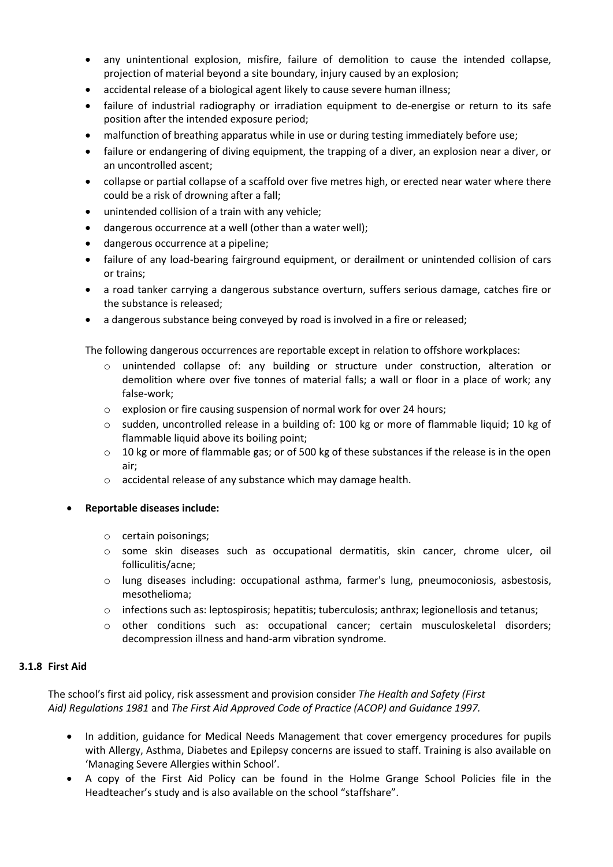- any unintentional explosion, misfire, failure of demolition to cause the intended collapse, projection of material beyond a site boundary, injury caused by an explosion;
- accidental release of a biological agent likely to cause severe human illness;
- failure of industrial radiography or irradiation equipment to de-energise or return to its safe position after the intended exposure period;
- malfunction of breathing apparatus while in use or during testing immediately before use;
- failure or endangering of diving equipment, the trapping of a diver, an explosion near a diver, or an uncontrolled ascent;
- collapse or partial collapse of a scaffold over five metres high, or erected near water where there could be a risk of drowning after a fall;
- unintended collision of a train with any vehicle;
- dangerous occurrence at a well (other than a water well);
- dangerous occurrence at a pipeline;
- failure of any load-bearing fairground equipment, or derailment or unintended collision of cars or trains;
- a road tanker carrying a dangerous substance overturn, suffers serious damage, catches fire or the substance is released;
- a dangerous substance being conveyed by road is involved in a fire or released;

The following dangerous occurrences are reportable except in relation to offshore workplaces:

- o unintended collapse of: any building or structure under construction, alteration or demolition where over five tonnes of material falls; a wall or floor in a place of work; any false-work;
- $\circ$  explosion or fire causing suspension of normal work for over 24 hours;
- $\circ$  sudden, uncontrolled release in a building of: 100 kg or more of flammable liquid; 10 kg of flammable liquid above its boiling point;
- $\circ$  10 kg or more of flammable gas; or of 500 kg of these substances if the release is in the open air;
- o accidental release of any substance which may damage health.

## • **Reportable diseases include:**

- o certain poisonings;
- o some skin diseases such as occupational dermatitis, skin cancer, chrome ulcer, oil folliculitis/acne;
- o lung diseases including: occupational asthma, farmer's lung, pneumoconiosis, asbestosis, mesothelioma;
- $\circ$  infections such as: leptospirosis; hepatitis; tuberculosis; anthrax; legionellosis and tetanus;
- o other conditions such as: occupational cancer; certain musculoskeletal disorders; decompression illness and hand-arm vibration syndrome.

## **3.1.8 First Aid**

The school's first aid policy, risk assessment and provision consider *The Health and Safety (First Aid) Regulations 1981* and *The First Aid Approved Code of Practice (ACOP) and Guidance 1997.*

- In addition, guidance for Medical Needs Management that cover emergency procedures for pupils with Allergy, Asthma, Diabetes and Epilepsy concerns are issued to staff. Training is also available on 'Managing Severe Allergies within School'.
- A copy of the First Aid Policy can be found in the Holme Grange School Policies file in the Headteacher's study and is also available on the school "staffshare".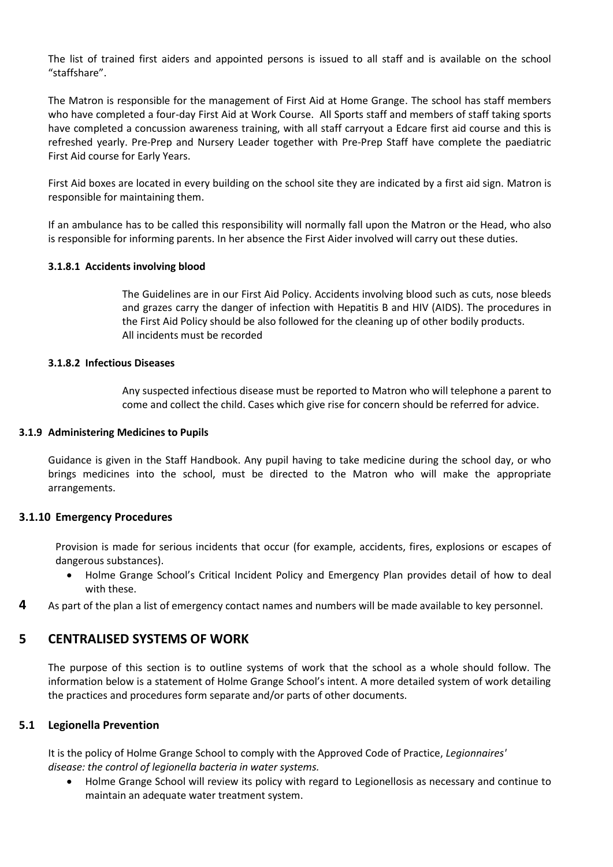The list of trained first aiders and appointed persons is issued to all staff and is available on the school "staffshare".

The Matron is responsible for the management of First Aid at Home Grange. The school has staff members who have completed a four-day First Aid at Work Course. All Sports staff and members of staff taking sports have completed a concussion awareness training, with all staff carryout a Edcare first aid course and this is refreshed yearly. Pre-Prep and Nursery Leader together with Pre-Prep Staff have complete the paediatric First Aid course for Early Years.

First Aid boxes are located in every building on the school site they are indicated by a first aid sign. Matron is responsible for maintaining them.

If an ambulance has to be called this responsibility will normally fall upon the Matron or the Head, who also is responsible for informing parents. In her absence the First Aider involved will carry out these duties.

#### **3.1.8.1 Accidents involving blood**

The Guidelines are in our First Aid Policy. Accidents involving blood such as cuts, nose bleeds and grazes carry the danger of infection with Hepatitis B and HIV (AIDS). The procedures in the First Aid Policy should be also followed for the cleaning up of other bodily products. All incidents must be recorded

## **3.1.8.2 Infectious Diseases**

Any suspected infectious disease must be reported to Matron who will telephone a parent to come and collect the child. Cases which give rise for concern should be referred for advice.

#### **3.1.9 Administering Medicines to Pupils**

Guidance is given in the Staff Handbook. Any pupil having to take medicine during the school day, or who brings medicines into the school, must be directed to the Matron who will make the appropriate arrangements.

## **3.1.10 Emergency Procedures**

Provision is made for serious incidents that occur (for example, accidents, fires, explosions or escapes of dangerous substances).

- Holme Grange School's Critical Incident Policy and Emergency Plan provides detail of how to deal with these.
- **4** As part of the plan a list of emergency contact names and numbers will be made available to key personnel.

## **5 CENTRALISED SYSTEMS OF WORK**

The purpose of this section is to outline systems of work that the school as a whole should follow. The information below is a statement of Holme Grange School's intent. A more detailed system of work detailing the practices and procedures form separate and/or parts of other documents.

## **5.1 Legionella Prevention**

It is the policy of Holme Grange School to comply with the Approved Code of Practice, *Legionnaires' disease: the control of legionella bacteria in water systems.*

• Holme Grange School will review its policy with regard to Legionellosis as necessary and continue to maintain an adequate water treatment system.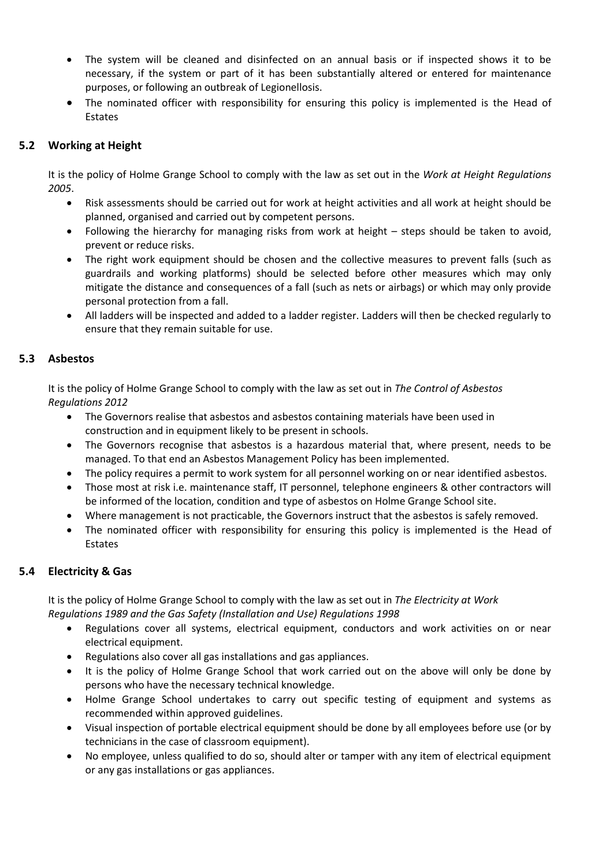- The system will be cleaned and disinfected on an annual basis or if inspected shows it to be necessary, if the system or part of it has been substantially altered or entered for maintenance purposes, or following an outbreak of Legionellosis.
- The nominated officer with responsibility for ensuring this policy is implemented is the Head of Estates

## **5.2 Working at Height**

It is the policy of Holme Grange School to comply with the law as set out in the *Work at Height Regulations 2005*.

- Risk assessments should be carried out for work at height activities and all work at height should be planned, organised and carried out by competent persons.
- Following the hierarchy for managing risks from work at height steps should be taken to avoid, prevent or reduce risks.
- The right work equipment should be chosen and the collective measures to prevent falls (such as guardrails and working platforms) should be selected before other measures which may only mitigate the distance and consequences of a fall (such as nets or airbags) or which may only provide personal protection from a fall.
- All ladders will be inspected and added to a ladder register. Ladders will then be checked regularly to ensure that they remain suitable for use.

## **5.3 Asbestos**

It is the policy of Holme Grange School to comply with the law as set out in *The Control of Asbestos Regulations 2012*

- The Governors realise that asbestos and asbestos containing materials have been used in construction and in equipment likely to be present in schools.
- The Governors recognise that asbestos is a hazardous material that, where present, needs to be managed. To that end an Asbestos Management Policy has been implemented.
- The policy requires a permit to work system for all personnel working on or near identified asbestos.
- Those most at risk i.e. maintenance staff, IT personnel, telephone engineers & other contractors will be informed of the location, condition and type of asbestos on Holme Grange School site.
- Where management is not practicable, the Governors instruct that the asbestos is safely removed.
- The nominated officer with responsibility for ensuring this policy is implemented is the Head of Estates

## **5.4 Electricity & Gas**

It is the policy of Holme Grange School to comply with the law as set out in *The Electricity at Work Regulations 1989 and the Gas Safety (Installation and Use) Regulations 1998*

- Regulations cover all systems, electrical equipment, conductors and work activities on or near electrical equipment.
- Regulations also cover all gas installations and gas appliances.
- It is the policy of Holme Grange School that work carried out on the above will only be done by persons who have the necessary technical knowledge.
- Holme Grange School undertakes to carry out specific testing of equipment and systems as recommended within approved guidelines.
- Visual inspection of portable electrical equipment should be done by all employees before use (or by technicians in the case of classroom equipment).
- No employee, unless qualified to do so, should alter or tamper with any item of electrical equipment or any gas installations or gas appliances.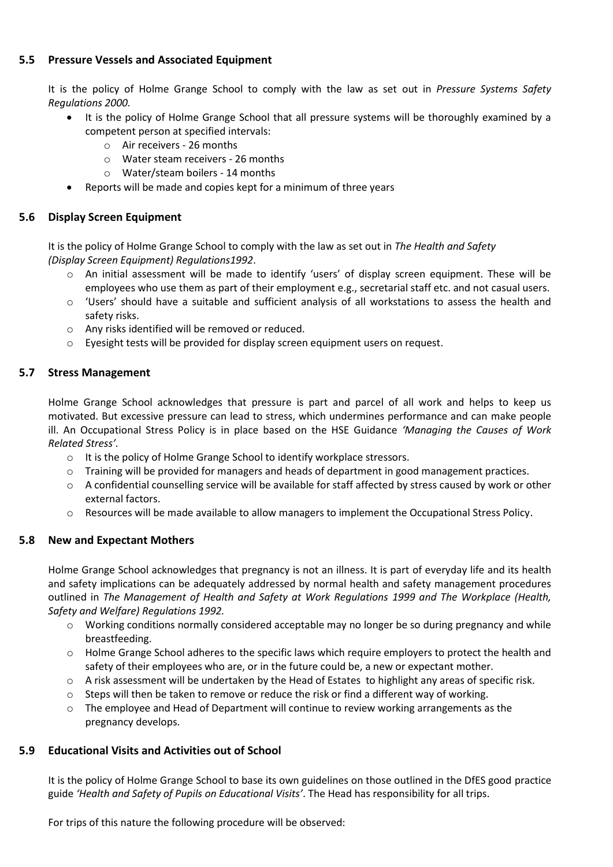## **5.5 Pressure Vessels and Associated Equipment**

It is the policy of Holme Grange School to comply with the law as set out in *Pressure Systems Safety Regulations 2000.*

- It is the policy of Holme Grange School that all pressure systems will be thoroughly examined by a competent person at specified intervals:
	- o Air receivers 26 months
	- o Water steam receivers 26 months
	- o Water/steam boilers 14 months
- Reports will be made and copies kept for a minimum of three years

## **5.6 Display Screen Equipment**

It is the policy of Holme Grange School to comply with the law as set out in *The Health and Safety (Display Screen Equipment) Regulations1992*.

- o An initial assessment will be made to identify 'users' of display screen equipment. These will be employees who use them as part of their employment e.g., secretarial staff etc. and not casual users.
- o 'Users' should have a suitable and sufficient analysis of all workstations to assess the health and safety risks.
- o Any risks identified will be removed or reduced.
- o Eyesight tests will be provided for display screen equipment users on request.

## **5.7 Stress Management**

Holme Grange School acknowledges that pressure is part and parcel of all work and helps to keep us motivated. But excessive pressure can lead to stress, which undermines performance and can make people ill. An Occupational Stress Policy is in place based on the HSE Guidance *'Managing the Causes of Work Related Stress'.*

- o It is the policy of Holme Grange School to identify workplace stressors.
- o Training will be provided for managers and heads of department in good management practices.
- $\circ$  A confidential counselling service will be available for staff affected by stress caused by work or other external factors.
- o Resources will be made available to allow managers to implement the Occupational Stress Policy.

## **5.8 New and Expectant Mothers**

Holme Grange School acknowledges that pregnancy is not an illness. It is part of everyday life and its health and safety implications can be adequately addressed by normal health and safety management procedures outlined in *The Management of Health and Safety at Work Regulations 1999 and The Workplace (Health, Safety and Welfare) Regulations 1992.*

- o Working conditions normally considered acceptable may no longer be so during pregnancy and while breastfeeding.
- $\circ$  Holme Grange School adheres to the specific laws which require employers to protect the health and safety of their employees who are, or in the future could be, a new or expectant mother.
- o A risk assessment will be undertaken by the Head of Estates to highlight any areas of specific risk.
- $\circ$  Steps will then be taken to remove or reduce the risk or find a different way of working.
- $\circ$  The employee and Head of Department will continue to review working arrangements as the pregnancy develops.

## **5.9 Educational Visits and Activities out of School**

It is the policy of Holme Grange School to base its own guidelines on those outlined in the DfES good practice guide *'Health and Safety of Pupils on Educational Visits'*. The Head has responsibility for all trips.

For trips of this nature the following procedure will be observed: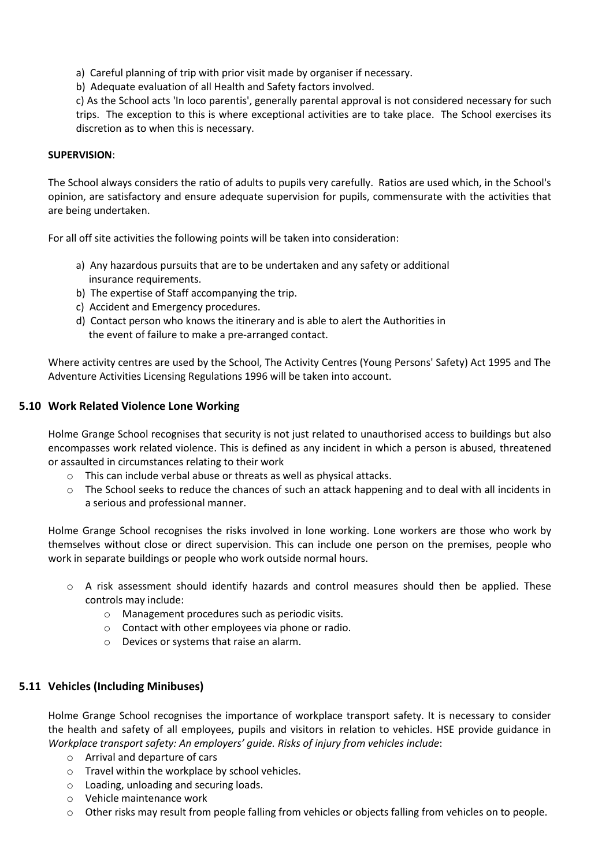- a) Careful planning of trip with prior visit made by organiser if necessary.
- b) Adequate evaluation of all Health and Safety factors involved.

c) As the School acts 'In loco parentis', generally parental approval is not considered necessary for such trips. The exception to this is where exceptional activities are to take place. The School exercises its discretion as to when this is necessary.

## **SUPERVISION**:

The School always considers the ratio of adults to pupils very carefully. Ratios are used which, in the School's opinion, are satisfactory and ensure adequate supervision for pupils, commensurate with the activities that are being undertaken.

For all off site activities the following points will be taken into consideration:

- a) Any hazardous pursuits that are to be undertaken and any safety or additional insurance requirements.
- b) The expertise of Staff accompanying the trip.
- c) Accident and Emergency procedures.
- d) Contact person who knows the itinerary and is able to alert the Authorities in the event of failure to make a pre-arranged contact.

Where activity centres are used by the School, The Activity Centres (Young Persons' Safety) Act 1995 and The Adventure Activities Licensing Regulations 1996 will be taken into account.

## **5.10 Work Related Violence Lone Working**

Holme Grange School recognises that security is not just related to unauthorised access to buildings but also encompasses work related violence. This is defined as any incident in which a person is abused, threatened or assaulted in circumstances relating to their work

- $\circ$  This can include verbal abuse or threats as well as physical attacks.
- o The School seeks to reduce the chances of such an attack happening and to deal with all incidents in a serious and professional manner.

Holme Grange School recognises the risks involved in lone working. Lone workers are those who work by themselves without close or direct supervision. This can include one person on the premises, people who work in separate buildings or people who work outside normal hours.

- o A risk assessment should identify hazards and control measures should then be applied. These controls may include:
	- o Management procedures such as periodic visits.
	- o Contact with other employees via phone or radio.
	- o Devices or systems that raise an alarm.

## **5.11 Vehicles (Including Minibuses)**

Holme Grange School recognises the importance of workplace transport safety. It is necessary to consider the health and safety of all employees, pupils and visitors in relation to vehicles. HSE provide guidance in *Workplace transport safety: An employers' guide. Risks of injury from vehicles include*:

- o Arrival and departure of cars
- o Travel within the workplace by school vehicles.
- o Loading, unloading and securing loads.
- o Vehicle maintenance work
- $\circ$  Other risks may result from people falling from vehicles or objects falling from vehicles on to people.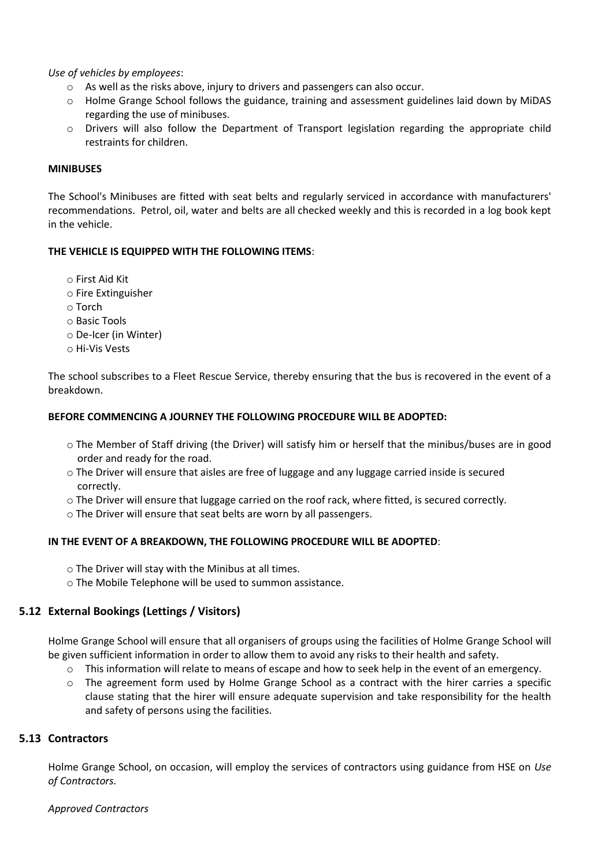*Use of vehicles by employees*:

- o As well as the risks above, injury to drivers and passengers can also occur.
- o Holme Grange School follows the guidance, training and assessment guidelines laid down by MiDAS regarding the use of minibuses.
- o Drivers will also follow the Department of Transport legislation regarding the appropriate child restraints for children.

## **MINIBUSES**

The School's Minibuses are fitted with seat belts and regularly serviced in accordance with manufacturers' recommendations. Petrol, oil, water and belts are all checked weekly and this is recorded in a log book kept in the vehicle.

## **THE VEHICLE IS EQUIPPED WITH THE FOLLOWING ITEMS**:

o First Aid Kit

- o Fire Extinguisher
- o Torch
- o Basic Tools
- o De-Icer (in Winter)
- o Hi-Vis Vests

The school subscribes to a Fleet Rescue Service, thereby ensuring that the bus is recovered in the event of a breakdown.

## **BEFORE COMMENCING A JOURNEY THE FOLLOWING PROCEDURE WILL BE ADOPTED:**

- o The Member of Staff driving (the Driver) will satisfy him or herself that the minibus/buses are in good order and ready for the road.
- o The Driver will ensure that aisles are free of luggage and any luggage carried inside is secured correctly.
- o The Driver will ensure that luggage carried on the roof rack, where fitted, is secured correctly.
- o The Driver will ensure that seat belts are worn by all passengers.

## **IN THE EVENT OF A BREAKDOWN, THE FOLLOWING PROCEDURE WILL BE ADOPTED**:

- o The Driver will stay with the Minibus at all times.
- o The Mobile Telephone will be used to summon assistance.

## **5.12 External Bookings (Lettings / Visitors)**

Holme Grange School will ensure that all organisers of groups using the facilities of Holme Grange School will be given sufficient information in order to allow them to avoid any risks to their health and safety.

- o This information will relate to means of escape and how to seek help in the event of an emergency.
- o The agreement form used by Holme Grange School as a contract with the hirer carries a specific clause stating that the hirer will ensure adequate supervision and take responsibility for the health and safety of persons using the facilities.

## **5.13 Contractors**

Holme Grange School, on occasion, will employ the services of contractors using guidance from HSE on *Use of Contractors.*

*Approved Contractors*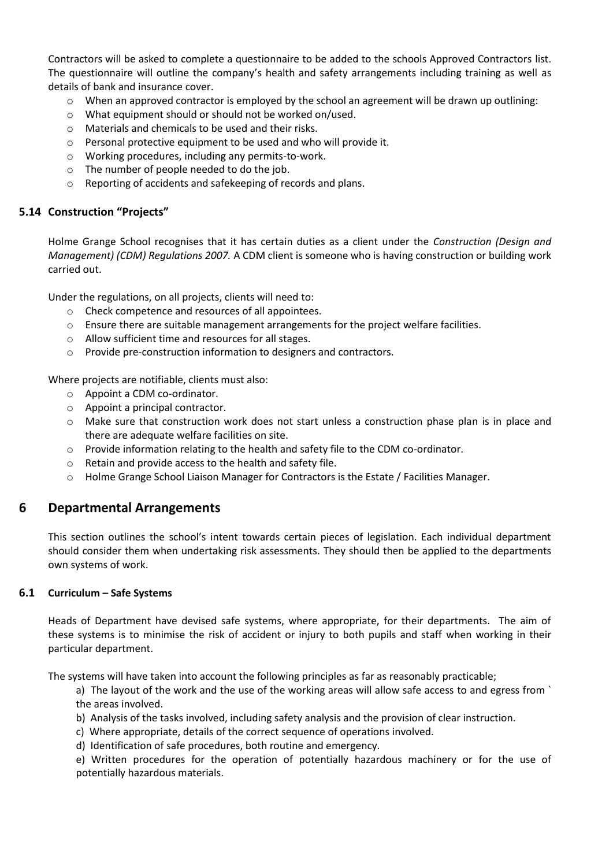Contractors will be asked to complete a questionnaire to be added to the schools Approved Contractors list. The questionnaire will outline the company's health and safety arrangements including training as well as details of bank and insurance cover.

- $\circ$  When an approved contractor is employed by the school an agreement will be drawn up outlining:
- o What equipment should or should not be worked on/used.
- o Materials and chemicals to be used and their risks.
- o Personal protective equipment to be used and who will provide it.
- o Working procedures, including any permits-to-work.
- o The number of people needed to do the job.
- o Reporting of accidents and safekeeping of records and plans.

## **5.14 Construction "Projects"**

Holme Grange School recognises that it has certain duties as a client under the *Construction (Design and Management) (CDM) Regulations 2007.* A CDM client is someone who is having construction or building work carried out.

Under the regulations, on all projects, clients will need to:

- o Check competence and resources of all appointees.
- $\circ$  Ensure there are suitable management arrangements for the project welfare facilities.
- o Allow sufficient time and resources for all stages.
- o Provide pre-construction information to designers and contractors.

Where projects are notifiable, clients must also:

- o Appoint a CDM co-ordinator.
- o Appoint a principal contractor.
- o Make sure that construction work does not start unless a construction phase plan is in place and there are adequate welfare facilities on site.
- o Provide information relating to the health and safety file to the CDM co-ordinator.
- o Retain and provide access to the health and safety file.
- $\circ$  Holme Grange School Liaison Manager for Contractors is the Estate / Facilities Manager.

## **6 Departmental Arrangements**

This section outlines the school's intent towards certain pieces of legislation. Each individual department should consider them when undertaking risk assessments. They should then be applied to the departments own systems of work.

## **6.1 Curriculum – Safe Systems**

Heads of Department have devised safe systems, where appropriate, for their departments. The aim of these systems is to minimise the risk of accident or injury to both pupils and staff when working in their particular department.

The systems will have taken into account the following principles as far as reasonably practicable;

a) The layout of the work and the use of the working areas will allow safe access to and egress from ` the areas involved.

- b) Analysis of the tasks involved, including safety analysis and the provision of clear instruction.
- c) Where appropriate, details of the correct sequence of operations involved.
- d) Identification of safe procedures, both routine and emergency.

e) Written procedures for the operation of potentially hazardous machinery or for the use of potentially hazardous materials.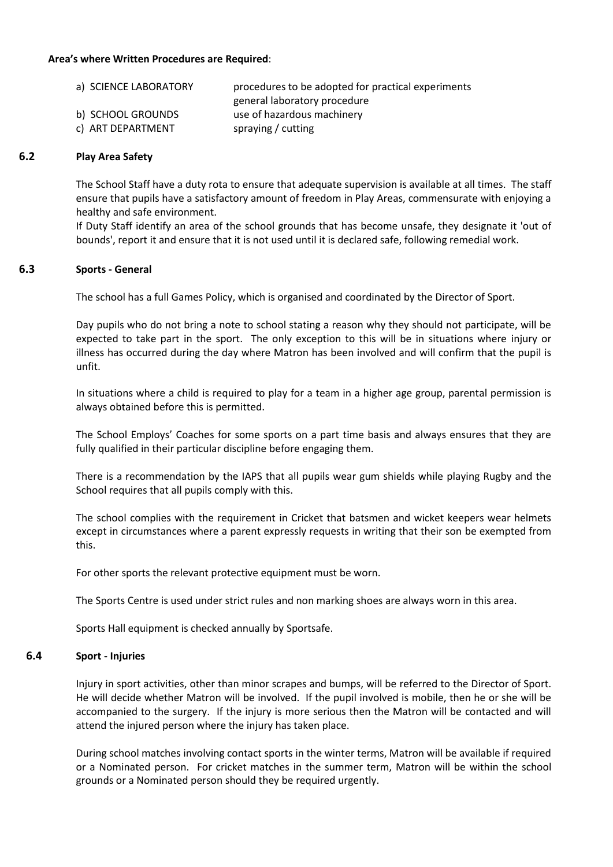## **Area's where Written Procedures are Required**:

| a) SCIENCE LABORATORY | procedures to be adopted for practical experiments |
|-----------------------|----------------------------------------------------|
|                       | general laboratory procedure                       |
| b) SCHOOL GROUNDS     | use of hazardous machinery                         |
| c) ART DEPARTMENT     | spraying / cutting                                 |

## **6.2 Play Area Safety**

The School Staff have a duty rota to ensure that adequate supervision is available at all times. The staff ensure that pupils have a satisfactory amount of freedom in Play Areas, commensurate with enjoying a healthy and safe environment.

If Duty Staff identify an area of the school grounds that has become unsafe, they designate it 'out of bounds', report it and ensure that it is not used until it is declared safe, following remedial work.

#### **6.3 Sports - General**

The school has a full Games Policy, which is organised and coordinated by the Director of Sport.

Day pupils who do not bring a note to school stating a reason why they should not participate, will be expected to take part in the sport. The only exception to this will be in situations where injury or illness has occurred during the day where Matron has been involved and will confirm that the pupil is unfit.

In situations where a child is required to play for a team in a higher age group, parental permission is always obtained before this is permitted.

The School Employs' Coaches for some sports on a part time basis and always ensures that they are fully qualified in their particular discipline before engaging them.

There is a recommendation by the IAPS that all pupils wear gum shields while playing Rugby and the School requires that all pupils comply with this.

The school complies with the requirement in Cricket that batsmen and wicket keepers wear helmets except in circumstances where a parent expressly requests in writing that their son be exempted from this.

For other sports the relevant protective equipment must be worn.

The Sports Centre is used under strict rules and non marking shoes are always worn in this area.

Sports Hall equipment is checked annually by Sportsafe.

#### **6.4 Sport - Injuries**

Injury in sport activities, other than minor scrapes and bumps, will be referred to the Director of Sport. He will decide whether Matron will be involved. If the pupil involved is mobile, then he or she will be accompanied to the surgery. If the injury is more serious then the Matron will be contacted and will attend the injured person where the injury has taken place.

During school matches involving contact sports in the winter terms, Matron will be available if required or a Nominated person. For cricket matches in the summer term, Matron will be within the school grounds or a Nominated person should they be required urgently.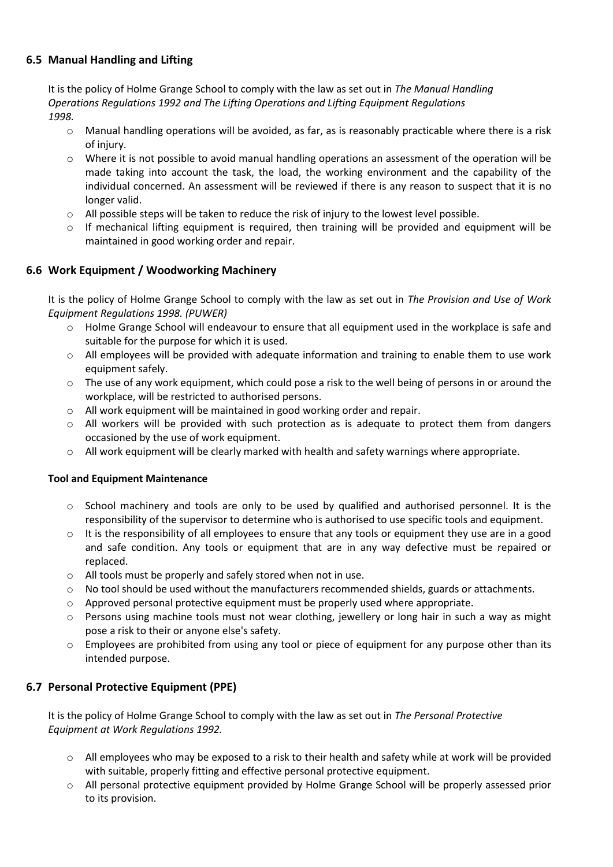## **6.5 Manual Handling and Lifting**

It is the policy of Holme Grange School to comply with the law as set out in *The Manual Handling Operations Regulations 1992 and The Lifting Operations and Lifting Equipment Regulations 1998.*

- o Manual handling operations will be avoided, as far, as is reasonably practicable where there is a risk of injury.
- o Where it is not possible to avoid manual handling operations an assessment of the operation will be made taking into account the task, the load, the working environment and the capability of the individual concerned. An assessment will be reviewed if there is any reason to suspect that it is no longer valid.
- o All possible steps will be taken to reduce the risk of injury to the lowest level possible.
- $\circ$  If mechanical lifting equipment is required, then training will be provided and equipment will be maintained in good working order and repair.

## **6.6 Work Equipment / Woodworking Machinery**

It is the policy of Holme Grange School to comply with the law as set out in *The Provision and Use of Work Equipment Regulations 1998. (PUWER)*

- o Holme Grange School will endeavour to ensure that all equipment used in the workplace is safe and suitable for the purpose for which it is used.
- o All employees will be provided with adequate information and training to enable them to use work equipment safely.
- o The use of any work equipment, which could pose a risk to the well being of persons in or around the workplace, will be restricted to authorised persons.
- o All work equipment will be maintained in good working order and repair.
- $\circ$  All workers will be provided with such protection as is adequate to protect them from dangers occasioned by the use of work equipment.
- o All work equipment will be clearly marked with health and safety warnings where appropriate.

## **Tool and Equipment Maintenance**

- o School machinery and tools are only to be used by qualified and authorised personnel. It is the responsibility of the supervisor to determine who is authorised to use specific tools and equipment.
- $\circ$  It is the responsibility of all employees to ensure that any tools or equipment they use are in a good and safe condition. Any tools or equipment that are in any way defective must be repaired or replaced.
- o All tools must be properly and safely stored when not in use.
- $\circ$  No tool should be used without the manufacturers recommended shields, guards or attachments.
- $\circ$  Approved personal protective equipment must be properly used where appropriate.
- o Persons using machine tools must not wear clothing, jewellery or long hair in such a way as might pose a risk to their or anyone else's safety.
- $\circ$  Employees are prohibited from using any tool or piece of equipment for any purpose other than its intended purpose.

## **6.7 Personal Protective Equipment (PPE)**

It is the policy of Holme Grange School to comply with the law as set out in *The Personal Protective Equipment at Work Regulations 1992.*

- $\circ$  All employees who may be exposed to a risk to their health and safety while at work will be provided with suitable, properly fitting and effective personal protective equipment.
- o All personal protective equipment provided by Holme Grange School will be properly assessed prior to its provision.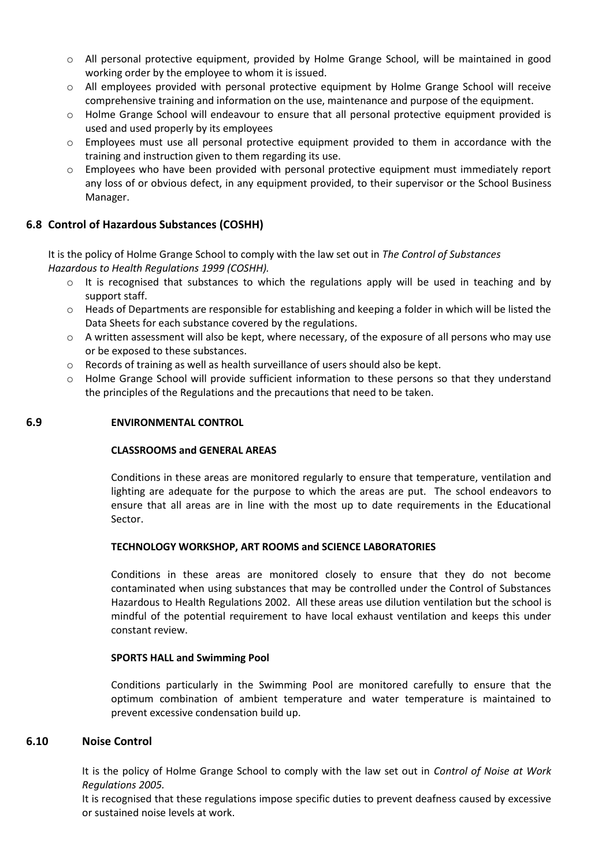- o All personal protective equipment, provided by Holme Grange School, will be maintained in good working order by the employee to whom it is issued.
- o All employees provided with personal protective equipment by Holme Grange School will receive comprehensive training and information on the use, maintenance and purpose of the equipment.
- o Holme Grange School will endeavour to ensure that all personal protective equipment provided is used and used properly by its employees
- o Employees must use all personal protective equipment provided to them in accordance with the training and instruction given to them regarding its use.
- o Employees who have been provided with personal protective equipment must immediately report any loss of or obvious defect, in any equipment provided, to their supervisor or the School Business Manager.

## **6.8 Control of Hazardous Substances (COSHH)**

It is the policy of Holme Grange School to comply with the law set out in *The Control of Substances Hazardous to Health Regulations 1999 (COSHH).*

- $\circ$  It is recognised that substances to which the regulations apply will be used in teaching and by support staff.
- o Heads of Departments are responsible for establishing and keeping a folder in which will be listed the Data Sheets for each substance covered by the regulations.
- $\circ$  A written assessment will also be kept, where necessary, of the exposure of all persons who may use or be exposed to these substances.
- $\circ$  Records of training as well as health surveillance of users should also be kept.
- $\circ$  Holme Grange School will provide sufficient information to these persons so that they understand the principles of the Regulations and the precautions that need to be taken.

## **6.9 ENVIRONMENTAL CONTROL**

## **CLASSROOMS and GENERAL AREAS**

Conditions in these areas are monitored regularly to ensure that temperature, ventilation and lighting are adequate for the purpose to which the areas are put. The school endeavors to ensure that all areas are in line with the most up to date requirements in the Educational Sector.

## **TECHNOLOGY WORKSHOP, ART ROOMS and SCIENCE LABORATORIES**

Conditions in these areas are monitored closely to ensure that they do not become contaminated when using substances that may be controlled under the Control of Substances Hazardous to Health Regulations 2002. All these areas use dilution ventilation but the school is mindful of the potential requirement to have local exhaust ventilation and keeps this under constant review.

## **SPORTS HALL and Swimming Pool**

Conditions particularly in the Swimming Pool are monitored carefully to ensure that the optimum combination of ambient temperature and water temperature is maintained to prevent excessive condensation build up.

## **6.10 Noise Control**

It is the policy of Holme Grange School to comply with the law set out in *Control of Noise at Work Regulations 2005.*

It is recognised that these regulations impose specific duties to prevent deafness caused by excessive or sustained noise levels at work.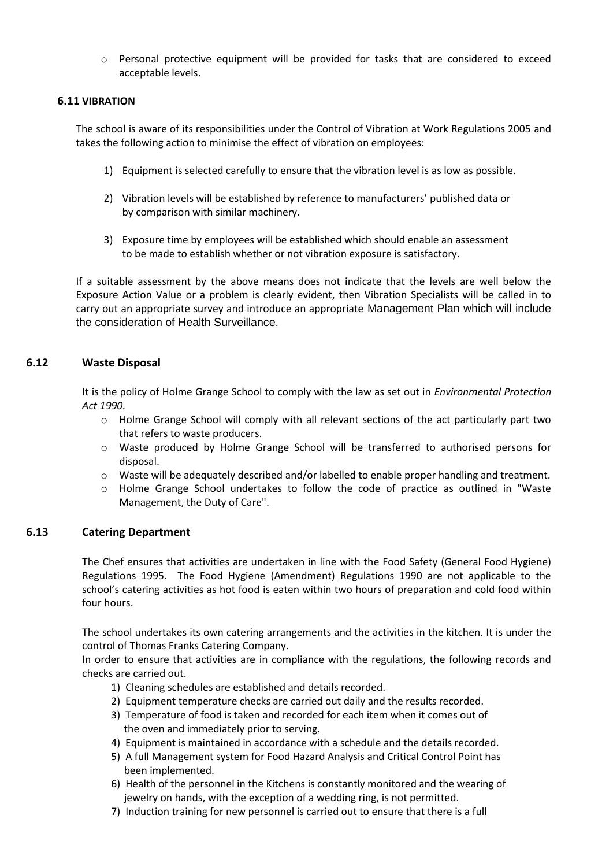o Personal protective equipment will be provided for tasks that are considered to exceed acceptable levels.

## **6.11 VIBRATION**

The school is aware of its responsibilities under the Control of Vibration at Work Regulations 2005 and takes the following action to minimise the effect of vibration on employees:

- 1) Equipment is selected carefully to ensure that the vibration level is as low as possible.
- 2) Vibration levels will be established by reference to manufacturers' published data or by comparison with similar machinery.
- 3) Exposure time by employees will be established which should enable an assessment to be made to establish whether or not vibration exposure is satisfactory.

If a suitable assessment by the above means does not indicate that the levels are well below the Exposure Action Value or a problem is clearly evident, then Vibration Specialists will be called in to carry out an appropriate survey and introduce an appropriate Management Plan which will include the consideration of Health Surveillance.

## **6.12 Waste Disposal**

It is the policy of Holme Grange School to comply with the law as set out in *Environmental Protection Act 1990.*

- o Holme Grange School will comply with all relevant sections of the act particularly part two that refers to waste producers.
- o Waste produced by Holme Grange School will be transferred to authorised persons for disposal.
- o Waste will be adequately described and/or labelled to enable proper handling and treatment.
- o Holme Grange School undertakes to follow the code of practice as outlined in "Waste Management, the Duty of Care".

## **6.13 Catering Department**

The Chef ensures that activities are undertaken in line with the Food Safety (General Food Hygiene) Regulations 1995. The Food Hygiene (Amendment) Regulations 1990 are not applicable to the school's catering activities as hot food is eaten within two hours of preparation and cold food within four hours.

The school undertakes its own catering arrangements and the activities in the kitchen. It is under the control of Thomas Franks Catering Company.

In order to ensure that activities are in compliance with the regulations, the following records and checks are carried out.

- 1) Cleaning schedules are established and details recorded.
- 2) Equipment temperature checks are carried out daily and the results recorded.
- 3) Temperature of food is taken and recorded for each item when it comes out of the oven and immediately prior to serving.
- 4) Equipment is maintained in accordance with a schedule and the details recorded.
- 5) A full Management system for Food Hazard Analysis and Critical Control Point has been implemented.
- 6) Health of the personnel in the Kitchens is constantly monitored and the wearing of jewelry on hands, with the exception of a wedding ring, is not permitted.
- 7) Induction training for new personnel is carried out to ensure that there is a full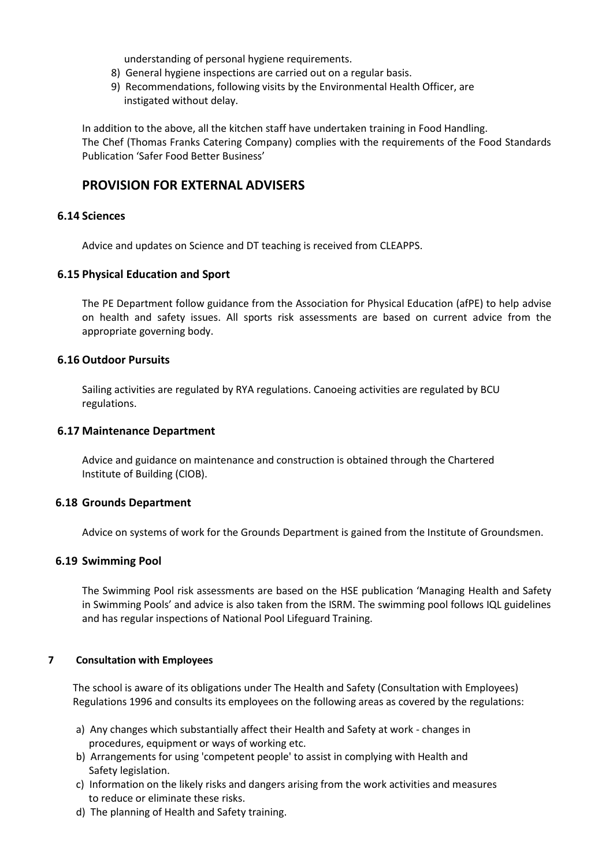understanding of personal hygiene requirements.

- 8) General hygiene inspections are carried out on a regular basis.
- 9) Recommendations, following visits by the Environmental Health Officer, are instigated without delay.

In addition to the above, all the kitchen staff have undertaken training in Food Handling. The Chef (Thomas Franks Catering Company) complies with the requirements of the Food Standards Publication 'Safer Food Better Business'

## **PROVISION FOR EXTERNAL ADVISERS**

## **6.14 Sciences**

Advice and updates on Science and DT teaching is received from CLEAPPS.

## **6.15 Physical Education and Sport**

The PE Department follow guidance from the Association for Physical Education (afPE) to help advise on health and safety issues. All sports risk assessments are based on current advice from the appropriate governing body.

## **6.16 Outdoor Pursuits**

Sailing activities are regulated by RYA regulations. Canoeing activities are regulated by BCU regulations.

## **6.17 Maintenance Department**

Advice and guidance on maintenance and construction is obtained through the Chartered Institute of Building (CIOB).

## **6.18 Grounds Department**

Advice on systems of work for the Grounds Department is gained from the Institute of Groundsmen.

## **6.19 Swimming Pool**

The Swimming Pool risk assessments are based on the HSE publication 'Managing Health and Safety in Swimming Pools' and advice is also taken from the ISRM. The swimming pool follows IQL guidelines and has regular inspections of National Pool Lifeguard Training.

## **7 Consultation with Employees**

The school is aware of its obligations under The Health and Safety (Consultation with Employees) Regulations 1996 and consults its employees on the following areas as covered by the regulations:

- a) Any changes which substantially affect their Health and Safety at work changes in procedures, equipment or ways of working etc.
- b) Arrangements for using 'competent people' to assist in complying with Health and Safety legislation.
- c) Information on the likely risks and dangers arising from the work activities and measures to reduce or eliminate these risks.
- d) The planning of Health and Safety training.